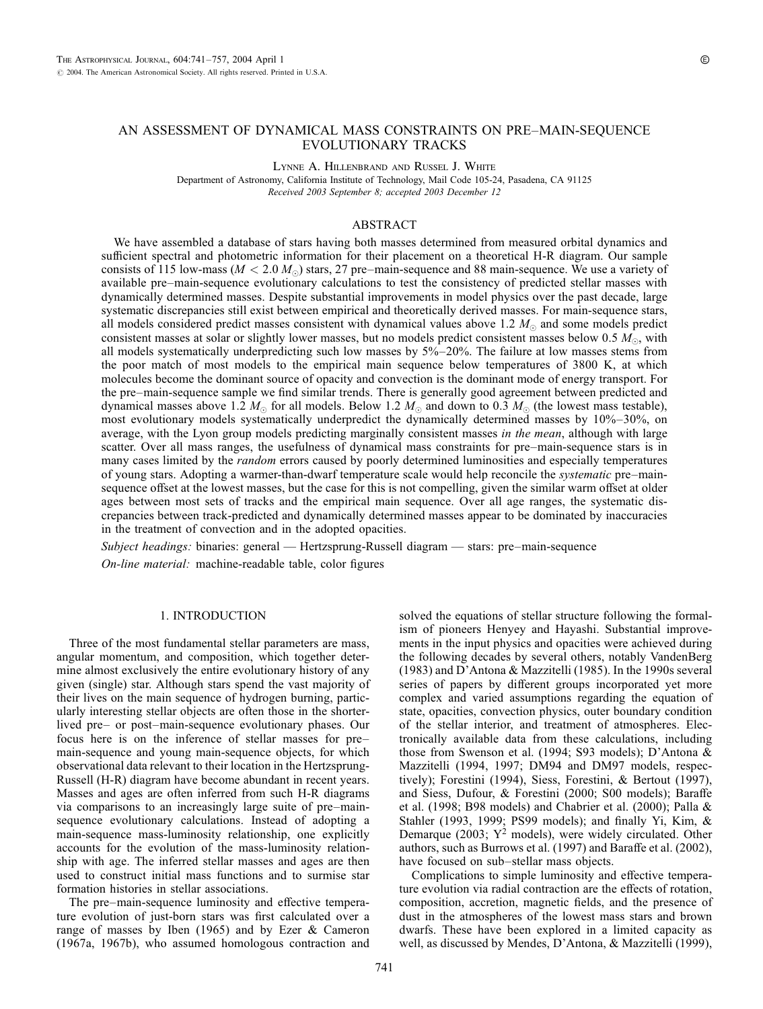# AN ASSESSMENT OF DYNAMICAL MASS CONSTRAINTS ON PRE–MAIN-SEQUENCE EVOLUTIONARY TRACKS

Lynne A. Hillenbrand and Russel J. White

Department of Astronomy, California Institute of Technology, Mail Code 105-24, Pasadena, CA 91125 Received 2003 September 8; accepted 2003 December 12

## ABSTRACT

We have assembled a database of stars having both masses determined from measured orbital dynamics and sufficient spectral and photometric information for their placement on a theoretical H-R diagram. Our sample consists of 115 low-mass ( $M < 2.0 M_{\odot}$ ) stars, 27 pre–main-sequence and 88 main-sequence. We use a variety of available pre–main-sequence evolutionary calculations to test the consistency of predicted stellar masses with dynamically determined masses. Despite substantial improvements in model physics over the past decade, large systematic discrepancies still exist between empirical and theoretically derived masses. For main-sequence stars, all models considered predict masses consistent with dynamical values above 1.2  $M_{\odot}$  and some models predict consistent masses at solar or slightly lower masses, but no models predict consistent masses below  $0.5 M_{\odot}$ , with all models systematically underpredicting such low masses by  $5\% - 20\%$ . The failure at low masses stems from the poor match of most models to the empirical main sequence below temperatures of 3800 K, at which molecules become the dominant source of opacity and convection is the dominant mode of energy transport. For the pre–main-sequence sample we find similar trends. There is generally good agreement between predicted and dynamical masses above 1.2  $M_{\odot}$  for all models. Below 1.2  $M_{\odot}$  and down to 0.3  $M_{\odot}$  (the lowest mass testable), most evolutionary models systematically underpredict the dynamically determined masses by 10%–30%, on average, with the Lyon group models predicting marginally consistent masses in the mean, although with large scatter. Over all mass ranges, the usefulness of dynamical mass constraints for pre–main-sequence stars is in many cases limited by the *random* errors caused by poorly determined luminosities and especially temperatures of young stars. Adopting a warmer-than-dwarf temperature scale would help reconcile the *systematic* pre–mainsequence offset at the lowest masses, but the case for this is not compelling, given the similar warm offset at older ages between most sets of tracks and the empirical main sequence. Over all age ranges, the systematic discrepancies between track-predicted and dynamically determined masses appear to be dominated by inaccuracies in the treatment of convection and in the adopted opacities.

Subject headings: binaries: general — Hertzsprung-Russell diagram — stars: pre–main-sequence On-line material: machine-readable table, color figures

## 1. INTRODUCTION

Three of the most fundamental stellar parameters are mass, angular momentum, and composition, which together determine almost exclusively the entire evolutionary history of any given (single) star. Although stars spend the vast majority of their lives on the main sequence of hydrogen burning, particularly interesting stellar objects are often those in the shorterlived pre– or post–main-sequence evolutionary phases. Our focus here is on the inference of stellar masses for pre– main-sequence and young main-sequence objects, for which observational data relevant to their location in the Hertzsprung-Russell (H-R) diagram have become abundant in recent years. Masses and ages are often inferred from such H-R diagrams via comparisons to an increasingly large suite of pre–mainsequence evolutionary calculations. Instead of adopting a main-sequence mass-luminosity relationship, one explicitly accounts for the evolution of the mass-luminosity relationship with age. The inferred stellar masses and ages are then used to construct initial mass functions and to surmise star formation histories in stellar associations.

The pre–main-sequence luminosity and effective temperature evolution of just-born stars was first calculated over a range of masses by Iben (1965) and by Ezer & Cameron (1967a, 1967b), who assumed homologous contraction and

solved the equations of stellar structure following the formalism of pioneers Henyey and Hayashi. Substantial improvements in the input physics and opacities were achieved during the following decades by several others, notably VandenBerg (1983) and D'Antona & Mazzitelli (1985). In the 1990s several series of papers by different groups incorporated yet more complex and varied assumptions regarding the equation of state, opacities, convection physics, outer boundary condition of the stellar interior, and treatment of atmospheres. Electronically available data from these calculations, including those from Swenson et al. (1994; S93 models); D'Antona & Mazzitelli (1994, 1997; DM94 and DM97 models, respectively); Forestini (1994), Siess, Forestini, & Bertout (1997), and Siess, Dufour, & Forestini (2000; S00 models); Baraffe et al. (1998; B98 models) and Chabrier et al. (2000); Palla & Stahler (1993, 1999; PS99 models); and finally Yi, Kim, & Demarque (2003;  $Y^2$  models), were widely circulated. Other authors, such as Burrows et al. (1997) and Baraffe et al. (2002), have focused on sub–stellar mass objects.

Complications to simple luminosity and effective temperature evolution via radial contraction are the effects of rotation, composition, accretion, magnetic fields, and the presence of dust in the atmospheres of the lowest mass stars and brown dwarfs. These have been explored in a limited capacity as well, as discussed by Mendes, D'Antona, & Mazzitelli (1999),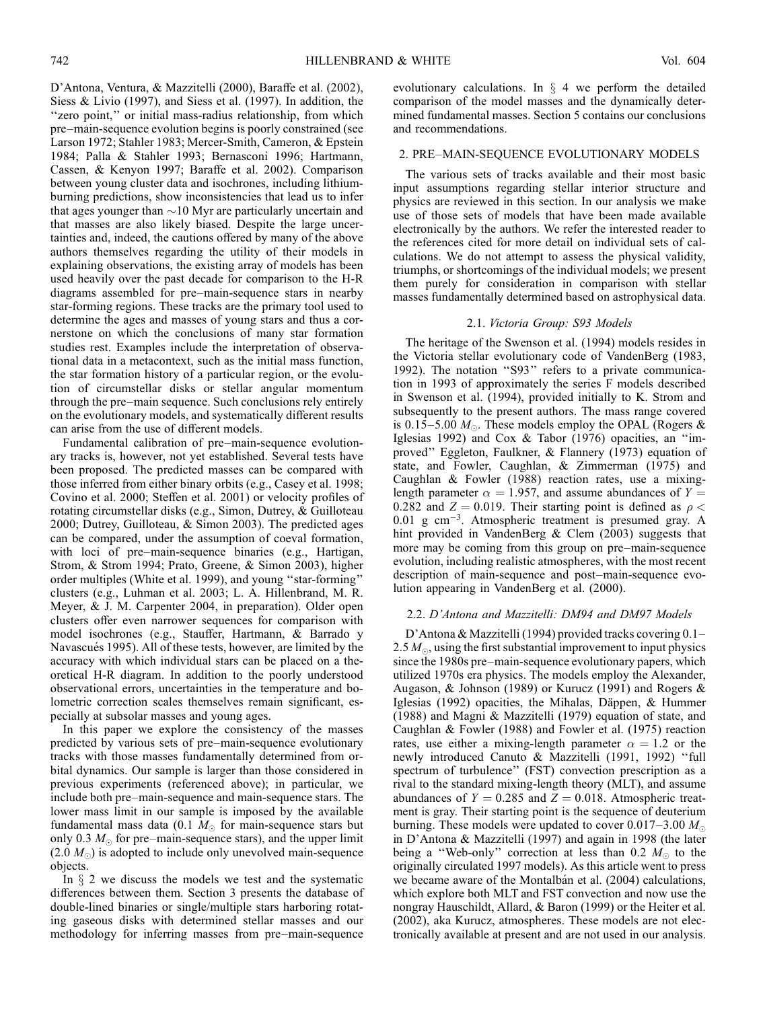D'Antona, Ventura, & Mazzitelli (2000), Baraffe et al. (2002), Siess & Livio (1997), and Siess et al. (1997). In addition, the "zero point," or initial mass-radius relationship, from which pre–main-sequence evolution begins is poorly constrained (see Larson 1972; Stahler 1983; Mercer-Smith, Cameron, & Epstein 1984; Palla & Stahler 1993; Bernasconi 1996; Hartmann, Cassen, & Kenyon 1997; Baraffe et al. 2002). Comparison between young cluster data and isochrones, including lithiumburning predictions, show inconsistencies that lead us to infer that ages younger than  $\sim$  10 Myr are particularly uncertain and that masses are also likely biased. Despite the large uncertainties and, indeed, the cautions offered by many of the above authors themselves regarding the utility of their models in explaining observations, the existing array of models has been used heavily over the past decade for comparison to the H-R diagrams assembled for pre–main-sequence stars in nearby star-forming regions. These tracks are the primary tool used to determine the ages and masses of young stars and thus a cornerstone on which the conclusions of many star formation studies rest. Examples include the interpretation of observational data in a metacontext, such as the initial mass function, the star formation history of a particular region, or the evolution of circumstellar disks or stellar angular momentum through the pre–main sequence. Such conclusions rely entirely on the evolutionary models, and systematically different results can arise from the use of different models.

Fundamental calibration of pre–main-sequence evolutionary tracks is, however, not yet established. Several tests have been proposed. The predicted masses can be compared with those inferred from either binary orbits (e.g., Casey et al. 1998; Covino et al. 2000; Steffen et al. 2001) or velocity profiles of rotating circumstellar disks (e.g., Simon, Dutrey, & Guilloteau 2000; Dutrey, Guilloteau, & Simon 2003). The predicted ages can be compared, under the assumption of coeval formation, with loci of pre–main-sequence binaries (e.g., Hartigan, Strom, & Strom 1994; Prato, Greene, & Simon 2003), higher order multiples (White et al. 1999), and young ''star-forming'' clusters (e.g., Luhman et al. 2003; L. A. Hillenbrand, M. R. Meyer, & J. M. Carpenter 2004, in preparation). Older open clusters offer even narrower sequences for comparison with model isochrones (e.g., Stauffer, Hartmann, & Barrado y Navascués 1995). All of these tests, however, are limited by the accuracy with which individual stars can be placed on a theoretical H-R diagram. In addition to the poorly understood observational errors, uncertainties in the temperature and bolometric correction scales themselves remain significant, especially at subsolar masses and young ages.

In this paper we explore the consistency of the masses predicted by various sets of pre–main-sequence evolutionary tracks with those masses fundamentally determined from orbital dynamics. Our sample is larger than those considered in previous experiments (referenced above); in particular, we include both pre–main-sequence and main-sequence stars. The lower mass limit in our sample is imposed by the available fundamental mass data (0.1  $M_{\odot}$  for main-sequence stars but only 0.3  $M_{\odot}$  for pre–main-sequence stars), and the upper limit  $(2.0 M<sub>o</sub>)$  is adopted to include only unevolved main-sequence objects.

In  $\S$  2 we discuss the models we test and the systematic differences between them. Section 3 presents the database of double-lined binaries or single/multiple stars harboring rotating gaseous disks with determined stellar masses and our methodology for inferring masses from pre–main-sequence

evolutionary calculations. In  $\S$  4 we perform the detailed comparison of the model masses and the dynamically determined fundamental masses. Section 5 contains our conclusions and recommendations.

## 2. PRE–MAIN-SEQUENCE EVOLUTIONARY MODELS

The various sets of tracks available and their most basic input assumptions regarding stellar interior structure and physics are reviewed in this section. In our analysis we make use of those sets of models that have been made available electronically by the authors. We refer the interested reader to the references cited for more detail on individual sets of calculations. We do not attempt to assess the physical validity, triumphs, or shortcomings of the individual models; we present them purely for consideration in comparison with stellar masses fundamentally determined based on astrophysical data.

#### 2.1. Victoria Group: S93 Models

The heritage of the Swenson et al. (1994) models resides in the Victoria stellar evolutionary code of VandenBerg (1983, 1992). The notation "S93" refers to a private communication in 1993 of approximately the series F models described in Swenson et al. (1994), provided initially to K. Strom and subsequently to the present authors. The mass range covered is 0.15–5.00  $M_{\odot}$ . These models employ the OPAL (Rogers & Iglesias 1992) and Cox & Tabor (1976) opacities, an ''improved'' Eggleton, Faulkner, & Flannery (1973) equation of state, and Fowler, Caughlan, & Zimmerman (1975) and Caughlan & Fowler (1988) reaction rates, use a mixinglength parameter  $\alpha = 1.957$ , and assume abundances of  $Y =$ 0.282 and  $Z = 0.019$ . Their starting point is defined as  $\rho <$  $0.01$  g cm<sup>-3</sup>. Atmospheric treatment is presumed gray. A hint provided in VandenBerg & Clem (2003) suggests that more may be coming from this group on pre–main-sequence evolution, including realistic atmospheres, with the most recent description of main-sequence and post–main-sequence evolution appearing in VandenBerg et al. (2000).

## 2.2. D'Antona and Mazzitelli: DM94 and DM97 Models

D'Antona & Mazzitelli (1994) provided tracks covering 0.1– 2.5  $M_{\odot}$ , using the first substantial improvement to input physics since the 1980s pre–main-sequence evolutionary papers, which utilized 1970s era physics. The models employ the Alexander, Augason, & Johnson (1989) or Kurucz (1991) and Rogers & Iglesias (1992) opacities, the Mihalas, Däppen,  $&$  Hummer (1988) and Magni & Mazzitelli (1979) equation of state, and Caughlan & Fowler (1988) and Fowler et al. (1975) reaction rates, use either a mixing-length parameter  $\alpha = 1.2$  or the newly introduced Canuto & Mazzitelli (1991, 1992) ''full spectrum of turbulence'' (FST) convection prescription as a rival to the standard mixing-length theory (MLT), and assume abundances of  $Y = 0.285$  and  $Z = 0.018$ . Atmospheric treatment is gray. Their starting point is the sequence of deuterium burning. These models were updated to cover  $0.017-3.00 M_{\odot}$ in D'Antona & Mazzitelli (1997) and again in 1998 (the later being a "Web-only" correction at less than 0.2  $M_{\odot}$  to the originally circulated 1997 models). As this article went to press we became aware of the Montalbán et al. (2004) calculations, which explore both MLT and FST convection and now use the nongray Hauschildt, Allard, & Baron (1999) or the Heiter et al. (2002), aka Kurucz, atmospheres. These models are not electronically available at present and are not used in our analysis.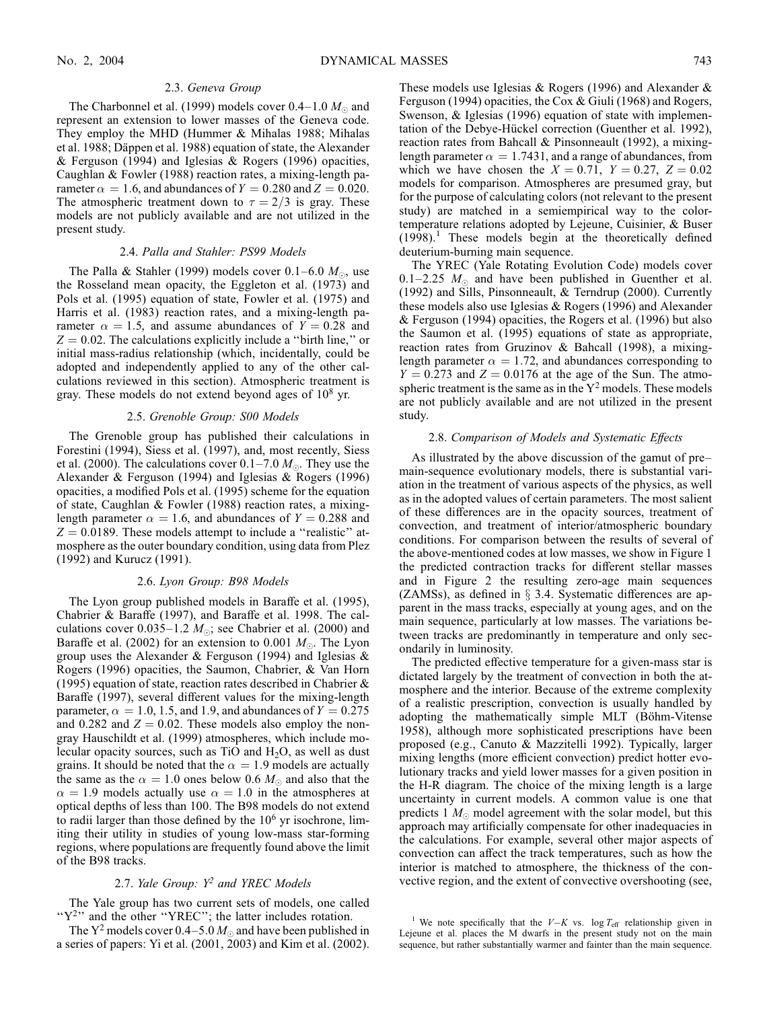#### 2.3. Geneva Group

The Charbonnel et al. (1999) models cover 0.4–1.0  $M_{\odot}$  and represent an extension to lower masses of the Geneva code. They employ the MHD (Hummer & Mihalas 1988; Mihalas et al. 1988; Däppen et al. 1988) equation of state, the Alexander & Ferguson (1994) and Iglesias & Rogers (1996) opacities, Caughlan & Fowler (1988) reaction rates, a mixing-length parameter  $\alpha = 1.6$ , and abundances of  $Y = 0.280$  and  $Z = 0.020$ . The atmospheric treatment down to  $\tau = 2/3$  is gray. These models are not publicly available and are not utilized in the present study.

## 2.4. Palla and Stahler: PS99 Models

The Palla & Stahler (1999) models cover 0.1–6.0  $M_{\odot}$ , use the Rosseland mean opacity, the Eggleton et al. (1973) and Pols et al. (1995) equation of state, Fowler et al. (1975) and Harris et al. (1983) reaction rates, and a mixing-length parameter  $\alpha = 1.5$ , and assume abundances of  $Y = 0.28$  and  $Z = 0.02$ . The calculations explicitly include a "birth line," or initial mass-radius relationship (which, incidentally, could be adopted and independently applied to any of the other calculations reviewed in this section). Atmospheric treatment is gray. These models do not extend beyond ages of  $10^8$  yr.

#### 2.5. Grenoble Group: S00 Models

The Grenoble group has published their calculations in Forestini (1994), Siess et al. (1997), and, most recently, Siess et al. (2000). The calculations cover  $0.1-7.0 M_{\odot}$ . They use the Alexander & Ferguson (1994) and Iglesias & Rogers (1996) opacities, a modified Pols et al. (1995) scheme for the equation of state, Caughlan & Fowler (1988) reaction rates, a mixinglength parameter  $\alpha = 1.6$ , and abundances of  $Y = 0.288$  and  $Z = 0.0189$ . These models attempt to include a "realistic" atmosphere as the outer boundary condition, using data from Plez (1992) and Kurucz (1991).

## 2.6. Lyon Group: B98 Models

The Lyon group published models in Baraffe et al. (1995), Chabrier & Baraffe (1997), and Baraffe et al. 1998. The calculations cover 0.035–1.2  $M_{\odot}$ ; see Chabrier et al. (2000) and Baraffe et al. (2002) for an extension to 0.001  $M_{\odot}$ . The Lyon group uses the Alexander & Ferguson (1994) and Iglesias & Rogers (1996) opacities, the Saumon, Chabrier, & Van Horn (1995) equation of state, reaction rates described in Chabrier & Baraffe (1997), several different values for the mixing-length parameter,  $\alpha = 1.0, 1.5,$  and 1.9, and abundances of  $Y = 0.275$ and 0.282 and  $Z = 0.02$ . These models also employ the nongray Hauschildt et al. (1999) atmospheres, which include molecular opacity sources, such as TiO and  $H_2O$ , as well as dust grains. It should be noted that the  $\alpha = 1.9$  models are actually the same as the  $\alpha = 1.0$  ones below 0.6  $M_{\odot}$  and also that the  $\alpha = 1.9$  models actually use  $\alpha = 1.0$  in the atmospheres at optical depths of less than 100. The B98 models do not extend to radii larger than those defined by the  $10<sup>6</sup>$  yr isochrone, limiting their utility in studies of young low-mass star-forming regions, where populations are frequently found above the limit of the B98 tracks.

## 2.7. Yale Group:  $Y^2$  and YREC Models

The Yale group has two current sets of models, one called "Y<sup>2</sup>" and the other "YREC"; the latter includes rotation.

The  $Y^2$  models cover 0.4–5.0  $M_{\odot}$  and have been published in a series of papers: Yi et al. (2001, 2003) and Kim et al. (2002).

These models use Iglesias & Rogers (1996) and Alexander & Ferguson (1994) opacities, the Cox & Giuli (1968) and Rogers, Swenson, & Iglesias (1996) equation of state with implementation of the Debye-Hückel correction (Guenther et al. 1992), reaction rates from Bahcall & Pinsonneault (1992), a mixinglength parameter  $\alpha = 1.7431$ , and a range of abundances, from which we have chosen the  $X = 0.71$ ,  $Y = 0.27$ ,  $Z = 0.02$ models for comparison. Atmospheres are presumed gray, but for the purpose of calculating colors (not relevant to the present study) are matched in a semiempirical way to the colortemperature relations adopted by Lejeune, Cuisinier, & Buser  $(1998).$ <sup>1</sup> These models begin at the theoretically defined deuterium-burning main sequence.

The YREC (Yale Rotating Evolution Code) models cover  $0.1-2.25$   $M_{\odot}$  and have been published in Guenther et al. (1992) and Sills, Pinsonneault, & Terndrup (2000). Currently these models also use Iglesias & Rogers (1996) and Alexander & Ferguson (1994) opacities, the Rogers et al. (1996) but also the Saumon et al. (1995) equations of state as appropriate, reaction rates from Gruzinov & Bahcall (1998), a mixinglength parameter  $\alpha = 1.72$ , and abundances corresponding to  $Y = 0.273$  and  $Z = 0.0176$  at the age of the Sun. The atmospheric treatment is the same as in the  $Y^2$  models. These models are not publicly available and are not utilized in the present study.

## 2.8. Comparison of Models and Systematic Effects

As illustrated by the above discussion of the gamut of pre– main-sequence evolutionary models, there is substantial variation in the treatment of various aspects of the physics, as well as in the adopted values of certain parameters. The most salient of these differences are in the opacity sources, treatment of convection, and treatment of interior/atmospheric boundary conditions. For comparison between the results of several of the above-mentioned codes at low masses, we show in Figure 1 the predicted contraction tracks for different stellar masses and in Figure 2 the resulting zero-age main sequences (ZAMSs), as defined in  $\S$  3.4. Systematic differences are apparent in the mass tracks, especially at young ages, and on the main sequence, particularly at low masses. The variations between tracks are predominantly in temperature and only secondarily in luminosity.

The predicted effective temperature for a given-mass star is dictated largely by the treatment of convection in both the atmosphere and the interior. Because of the extreme complexity of a realistic prescription, convection is usually handled by adopting the mathematically simple MLT (Böhm-Vitense 1958), although more sophisticated prescriptions have been proposed (e.g., Canuto & Mazzitelli 1992). Typically, larger mixing lengths (more efficient convection) predict hotter evolutionary tracks and yield lower masses for a given position in the H-R diagram. The choice of the mixing length is a large uncertainty in current models. A common value is one that predicts 1  $M_{\odot}$  model agreement with the solar model, but this approach may artificially compensate for other inadequacies in the calculations. For example, several other major aspects of convection can affect the track temperatures, such as how the interior is matched to atmosphere, the thickness of the convective region, and the extent of convective overshooting (see,

<sup>&</sup>lt;sup>1</sup> We note specifically that the  $V-K$  vs. log  $T_{\text{eff}}$  relationship given in Lejeune et al. places the M dwarfs in the present study not on the main sequence, but rather substantially warmer and fainter than the main sequence.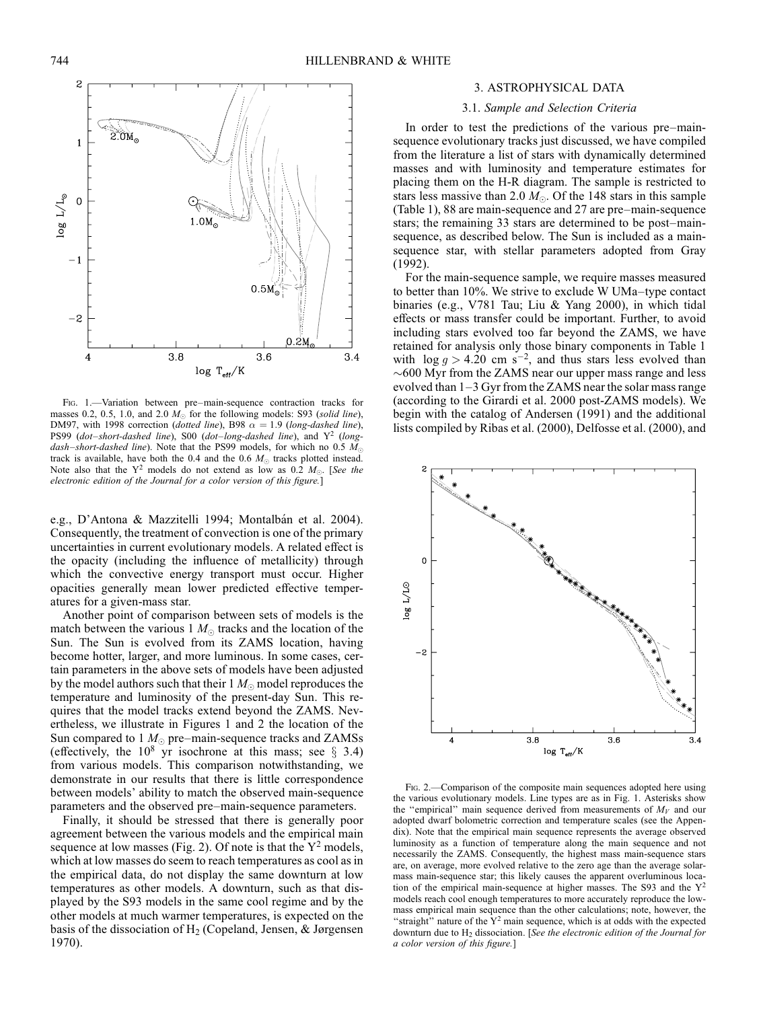

Fig. 1.—Variation between pre–main-sequence contraction tracks for masses 0.2, 0.5, 1.0, and 2.0  $M_{\odot}$  for the following models: S93 (solid line), DM97, with 1998 correction (dotted line), B98  $\alpha = 1.9$  (long-dashed line), PS99 (dot–short-dashed line), S00 (dot–long-dashed line), and  $Y^2$  (longdash–short-dashed line). Note that the PS99 models, for which no 0.5  $M_{\odot}$ track is available, have both the 0.4 and the 0.6  $M_{\odot}$  tracks plotted instead. Note also that the  $Y^2$  models do not extend as low as 0.2  $M_{\odot}$ . [See the electronic edition of the Journal for a color version of this figure.]

e.g., D'Antona & Mazzitelli 1994; Montalbán et al. 2004). Consequently, the treatment of convection is one of the primary uncertainties in current evolutionary models. A related effect is the opacity (including the influence of metallicity) through which the convective energy transport must occur. Higher opacities generally mean lower predicted effective temperatures for a given-mass star.

Another point of comparison between sets of models is the match between the various 1  $M_{\odot}$  tracks and the location of the Sun. The Sun is evolved from its ZAMS location, having become hotter, larger, and more luminous. In some cases, certain parameters in the above sets of models have been adjusted by the model authors such that their  $1 M_{\odot}$  model reproduces the temperature and luminosity of the present-day Sun. This requires that the model tracks extend beyond the ZAMS. Nevertheless, we illustrate in Figures 1 and 2 the location of the Sun compared to 1  $M_{\odot}$  pre–main-sequence tracks and ZAMSs (effectively, the  $10^8$  yr isochrone at this mass; see § 3.4) from various models. This comparison notwithstanding, we demonstrate in our results that there is little correspondence between models' ability to match the observed main-sequence parameters and the observed pre–main-sequence parameters.

Finally, it should be stressed that there is generally poor agreement between the various models and the empirical main sequence at low masses (Fig. 2). Of note is that the  $Y^2$  models, which at low masses do seem to reach temperatures as cool as in the empirical data, do not display the same downturn at low temperatures as other models. A downturn, such as that displayed by the S93 models in the same cool regime and by the other models at much warmer temperatures, is expected on the basis of the dissociation of  $H_2$  (Copeland, Jensen, & Jørgensen 1970).

## 3. ASTROPHYSICAL DATA

## 3.1. Sample and Selection Criteria

In order to test the predictions of the various pre–mainsequence evolutionary tracks just discussed, we have compiled from the literature a list of stars with dynamically determined masses and with luminosity and temperature estimates for placing them on the H-R diagram. The sample is restricted to stars less massive than 2.0  $M_{\odot}$ . Of the 148 stars in this sample (Table 1), 88 are main-sequence and 27 are pre–main-sequence stars; the remaining 33 stars are determined to be post–mainsequence, as described below. The Sun is included as a mainsequence star, with stellar parameters adopted from Gray (1992).

For the main-sequence sample, we require masses measured to better than 10%. We strive to exclude W UMa–type contact binaries (e.g., V781 Tau; Liu & Yang 2000), in which tidal effects or mass transfer could be important. Further, to avoid including stars evolved too far beyond the ZAMS, we have retained for analysis only those binary components in Table 1 with  $\log g > 4.20$  cm s<sup>-2</sup>, and thus stars less evolved than -600 Myr from the ZAMS near our upper mass range and less evolved than 1–3 Gyr from the ZAMS near the solar mass range (according to the Girardi et al. 2000 post-ZAMS models). We begin with the catalog of Andersen (1991) and the additional lists compiled by Ribas et al. (2000), Delfosse et al. (2000), and



Fig. 2.—Comparison of the composite main sequences adopted here using the various evolutionary models. Line types are as in Fig. 1. Asterisks show the "empirical" main sequence derived from measurements of  $M_V$  and our adopted dwarf bolometric correction and temperature scales (see the Appendix). Note that the empirical main sequence represents the average observed luminosity as a function of temperature along the main sequence and not necessarily the ZAMS. Consequently, the highest mass main-sequence stars are, on average, more evolved relative to the zero age than the average solarmass main-sequence star; this likely causes the apparent overluminous location of the empirical main-sequence at higher masses. The S93 and the  $Y^2$ models reach cool enough temperatures to more accurately reproduce the lowmass empirical main sequence than the other calculations; note, however, the "straight" nature of the  $Y^2$  main sequence, which is at odds with the expected downturn due to  $H_2$  dissociation. [See the electronic edition of the Journal for a color version of this figure.]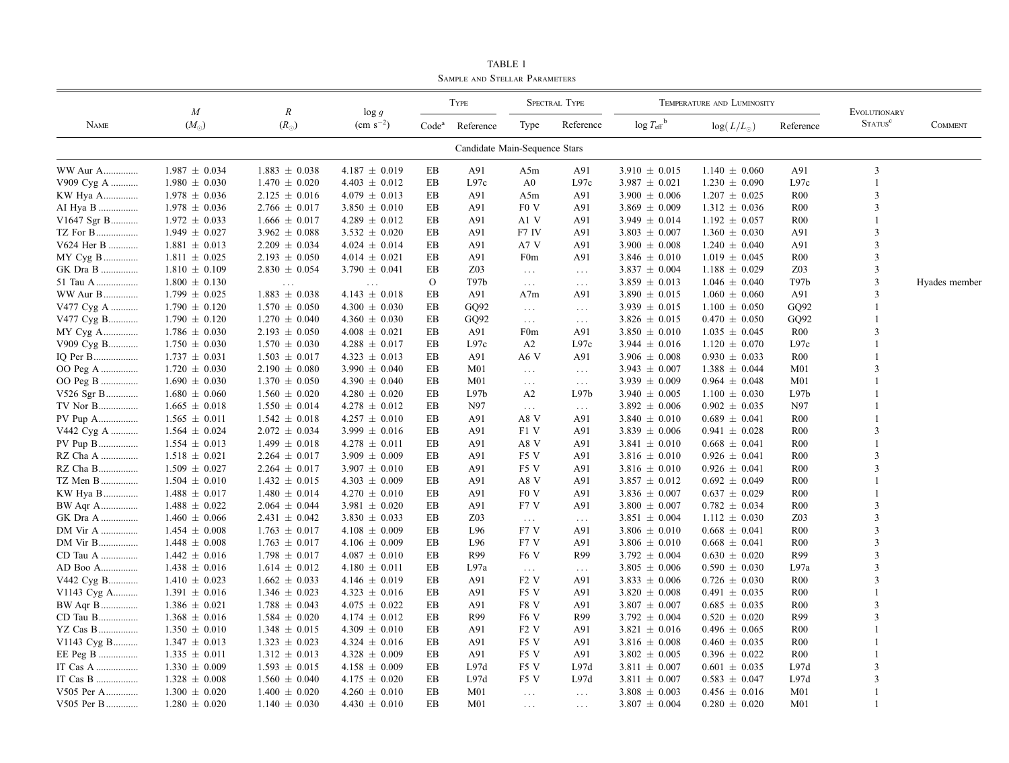| <b>NAME</b> |                           | $\boldsymbol{R}$<br>$(R_{\odot})$ | $\log g$<br>$\rm (cm \; s^{-2})$ | <b>TYPE</b>       |                               | <b>SPECTRAL TYPE</b>                     |                             | TEMPERATURE AND LUMINOSITY       |                    |                 | <b>EVOLUTIONARY</b>        |                |
|-------------|---------------------------|-----------------------------------|----------------------------------|-------------------|-------------------------------|------------------------------------------|-----------------------------|----------------------------------|--------------------|-----------------|----------------------------|----------------|
|             | $\cal M$<br>$(M_{\odot})$ |                                   |                                  | Code <sup>a</sup> | Reference                     | Type                                     | Reference                   | $\log T_{\text{eff}}^{\text{b}}$ | $log(L/L_{\odot})$ | Reference       | <b>STATUS</b> <sup>c</sup> | <b>COMMENT</b> |
|             |                           |                                   |                                  |                   | Candidate Main-Sequence Stars |                                          |                             |                                  |                    |                 |                            |                |
| WW Aur A    | $1.987 \pm 0.034$         | $1.883 \pm 0.038$                 | $4.187 \pm 0.019$                | EB                | A91                           | A5m                                      | A91                         | $3.910 \pm 0.015$                | $1.140 \pm 0.060$  | A91             | 3                          |                |
| V909 Cyg A  | $1.980 \pm 0.030$         | $1.470 \pm 0.020$                 | $4.403 \pm 0.012$                | EB                | L97c                          | A <sub>0</sub>                           | L97c                        | $3.987 \pm 0.021$                | $1.230 \pm 0.090$  | L97c            | $\mathbf{1}$               |                |
| KW Hya A    | $1.978 \pm 0.036$         | $2.125 \pm 0.016$                 | $4.079 \pm 0.013$                | EB                | A91                           | A5m                                      | A91                         | $3.900 \pm 0.006$                | $1.207 \pm 0.025$  | R <sub>00</sub> | 3                          |                |
| AI Hya B    | $1.978 \pm 0.036$         | $2.766 \pm 0.017$                 | $3.850 \pm 0.010$                | EB                | A91                           | F <sub>0</sub> V                         | A91                         | 3.869 $\pm$ 0.009                | $1.312 \pm 0.036$  | R <sub>00</sub> |                            |                |
| V1647 Sgr B | $1.972 \pm 0.033$         | $1.666 \pm 0.017$                 | $4.289 \pm 0.012$                | EB                | A91                           | A1 V                                     | A91                         | $3.949 \pm 0.014$                | $1.192 \pm 0.057$  | R <sub>00</sub> |                            |                |
| TZ For B    | $1.949 \pm 0.027$         | $3.962 \pm 0.088$                 | $3.532 \pm 0.020$                | EB                | A91                           | F7 IV                                    | A91                         | $3.803 \pm 0.007$                | $1.360 \pm 0.030$  | A91             | $\mathbf{3}$               |                |
| V624 Her B  | $1.881 \pm 0.013$         | $2.209 \pm 0.034$                 | $4.024 \pm 0.014$                | EB                | A91                           | A7 V                                     | A91                         | $3.900 \pm 0.008$                | $1.240 \pm 0.040$  | A91             | $\mathcal{F}$              |                |
| MY Cyg B    | $1.811 \pm 0.025$         | $2.193 \pm 0.050$                 | $4.014 \pm 0.021$                | EB                | A91                           | F0m                                      | A91                         | $3.846 \pm 0.010$                | $1.019 \pm 0.045$  | R <sub>00</sub> | $\mathbf{3}$               |                |
| GK Dra B    | $1.810 \pm 0.109$         | $2.830 \pm 0.054$                 | $3.790 \pm 0.041$                | EB                | Z03                           | $\ldots$                                 | $\ldots$                    | $3.837 \pm 0.004$                | $1.188 \pm 0.029$  | Z <sub>03</sub> | 3                          |                |
| 51 Tau A    | $1.800 \pm 0.130$         | $\ldots$                          | $\cdots$                         | $\mathcal{O}$     | T97b                          | $\ldots$                                 | $\ldots$                    | $3.859 \pm 0.013$                | $1.046 \pm 0.040$  | T97b            | 3                          | Hyades member  |
| WW Aur B    | $1.799 \pm 0.025$         | $1.883 \pm 0.038$                 | $4.143 \pm 0.018$                | EB                | A91                           | A7m                                      | A91                         | $3.890 \pm 0.015$                | $1.060 \pm 0.060$  | A91             | 3                          |                |
| V477 Cyg A  | $1.790 \pm 0.120$         | $1.570 \pm 0.050$                 | $4.300 \pm 0.030$                | EB                | GQ92                          | $\ldots$                                 | $\ldots$                    | $3.939 \pm 0.015$                | $1.100 \pm 0.050$  | GQ92            |                            |                |
| V477 Cyg B  | $1.790 \pm 0.120$         | $1.270 \pm 0.040$                 | $4.360 \pm 0.030$                | EB                | GQ92                          | $\sim$ $\sim$ $\sim$                     | $\ldots$                    | $3.826 \pm 0.015$                | $0.470 \pm 0.050$  | GQ92            |                            |                |
| MY Cyg A    | $1.786 \pm 0.030$         | $2.193 \pm 0.050$                 | $4.008 \pm 0.021$                | EB                | A91                           | F <sub>0</sub> m                         | A91                         | $3.850 \pm 0.010$                | $1.035 \pm 0.045$  | R <sub>00</sub> |                            |                |
| V909 Cyg B  | $1.750 \pm 0.030$         | $1.570 \pm 0.030$                 | $4.288 \pm 0.017$                | EΒ                | L97c                          | A2                                       | L97c                        | $3.944 \pm 0.016$                | $1.120 \pm 0.070$  | L97c            |                            |                |
| IQ Per B    | $1.737 \pm 0.031$         | $1.503 \pm 0.017$                 | $4.323 \pm 0.013$                | EB                | A91                           | A6 V                                     | A91                         | $3.906 \pm 0.008$                | $0.930 \pm 0.033$  | R <sub>00</sub> |                            |                |
| OO Peg A    | $1.720 \pm 0.030$         | $2.190 \pm 0.080$                 | $3.990 \pm 0.040$                | EB                | M <sub>01</sub>               | $\sim$ $\sim$ $\sim$                     | $\ldots$                    | $3.943 \pm 0.007$                | $1.388 \pm 0.044$  | M <sub>01</sub> |                            |                |
| OO Peg B    | $1.690 \pm 0.030$         | $1.370 \pm 0.050$                 | $4.390 \pm 0.040$                | EB                | M <sub>01</sub>               | $\ldots$ .                               | $\ldots$                    | $3.939 \pm 0.009$                | $0.964 \pm 0.048$  | M <sub>01</sub> |                            |                |
| V526 Sgr B  | $1.680 \pm 0.060$         | $1.560 \pm 0.020$                 | $4.280 \pm 0.020$                | EB                | L97b                          | A2                                       | L97b                        | $3.940 \pm 0.005$                | $1.100 \pm 0.030$  | L97b            |                            |                |
| TV Nor B    | $1.665 \pm 0.018$         | $1.550 \pm 0.014$                 | $4.278 \pm 0.012$                | EB                | N97                           | $\sim$ $\sim$ $\sim$                     | $\ldots$                    | $3.892 \pm 0.006$                | $0.902 \pm 0.035$  | N97             |                            |                |
| PV Pup A    | $1.565 \pm 0.011$         | $1.542 \pm 0.018$                 | $4.257 \pm 0.010$                | EB                | A91                           | A8 V                                     | A91                         | $3.840 \pm 0.010$                | $0.689 \pm 0.041$  | R <sub>00</sub> |                            |                |
| V442 Cyg A  | $1.564 \pm 0.024$         | $2.072 \pm 0.034$                 | $3.999 \pm 0.016$                | EB                | A91                           | F1 V                                     | A91                         | $3.839 \pm 0.006$                | $0.941 \pm 0.028$  | R <sub>00</sub> | 3                          |                |
| PV Pup B    | $1.554 \pm 0.013$         | $1.499 \pm 0.018$                 | $4.278 \pm 0.011$                | EB                | A91                           | A8 V                                     | A91                         | $3.841 \pm 0.010$                | $0.668 \pm 0.041$  | R <sub>00</sub> |                            |                |
| RZ Cha A    | $1.518 \pm 0.021$         | $2.264 \pm 0.017$                 | $3.909 \pm 0.009$                | EB                | A91                           | F5 V                                     | A91                         | $3.816 \pm 0.010$                | $0.926 \pm 0.041$  | R <sub>00</sub> | 3                          |                |
| RZ Cha B    | $1.509 \pm 0.027$         | $2.264 \pm 0.017$                 | $3.907 \pm 0.010$                | EB                | A91                           | F5 V                                     | A91                         | $3.816 \pm 0.010$                | $0.926 \pm 0.041$  | R <sub>00</sub> | $\mathcal{R}$              |                |
| TZ Men B    | $1.504 \pm 0.010$         | $1.432 \pm 0.015$                 | $4.303 \pm 0.009$                | EB                | A91                           | A8 V                                     | A91                         | $3.857 \pm 0.012$                | $0.692 \pm 0.049$  | R <sub>00</sub> |                            |                |
| KW Hya B    | $1.488 \pm 0.017$         | $1.480 \pm 0.014$                 | $4.270 \pm 0.010$                | EB                | A91                           | F <sub>0</sub> V                         | A91                         | $3.836 \pm 0.007$                | $0.637 \pm 0.029$  | R <sub>00</sub> |                            |                |
| BW Aqr A    | $1.488 \pm 0.022$         | $2.064 \pm 0.044$                 | $3.981 \pm 0.020$                | EB                | A91                           | F7 V                                     | A91                         | $3.800 \pm 0.007$                | $0.782 \pm 0.034$  | R <sub>00</sub> | 3                          |                |
| GK Dra A    | $1.460 \pm 0.066$         | $2.431 \pm 0.042$                 | $3.830 \pm 0.033$                | EB                | Z03                           | $\cdots$                                 | $\ldots$                    | $3.851 \pm 0.004$                | $1.112 \pm 0.030$  | Z03             |                            |                |
| DM Vir A    | $1.454 \pm 0.008$         | $1.763 \pm 0.017$                 | $4.108 \pm 0.009$                | EB                | L96                           | F7 V                                     | A91                         | $3.806 \pm 0.010$                | $0.668 \pm 0.041$  | R <sub>00</sub> |                            |                |
| DM Vir B    | $1.448 \pm 0.008$         | $1.763 \pm 0.017$                 | $4.106 \pm 0.009$                | EB                | L96                           | F7 V                                     | A91                         | $3.806 \pm 0.010$                | $0.668 \pm 0.041$  | R <sub>00</sub> |                            |                |
| CD Tau A    | $1.442 \pm 0.016$         | $1.798 \pm 0.017$                 | $4.087 \pm 0.010$                | EB                | R99                           | F <sub>6</sub> V                         | R99                         | $3.792 \pm 0.004$                | $0.630 \pm 0.020$  | R99             |                            |                |
| AD Boo A    | $1.438 \pm 0.016$         | $1.614 \pm 0.012$                 | $4.180 \pm 0.011$                | EB                | L97a                          |                                          |                             | $3.805 \pm 0.006$                | $0.590 \pm 0.030$  | L97a            |                            |                |
| V442 Cyg B  | $1.410 \pm 0.023$         | $1.662 \pm 0.033$                 | $4.146 \pm 0.019$                | EB                | A91                           | $\sim$ $\sim$ $\sim$<br>F <sub>2</sub> V | $\sim$ $\sim$ $\sim$<br>A91 | $3.833 \pm 0.006$                | $0.726 \pm 0.030$  | R <sub>00</sub> |                            |                |
| V1143 Cyg A | $1.391 \pm 0.016$         | $1.346 \pm 0.023$                 | $4.323 \pm 0.016$                | EB                | A91                           | F5 V                                     | A91                         | $3.820 \pm 0.008$                | $0.491 \pm 0.035$  | R <sub>00</sub> |                            |                |
| BW Aqr B    | $1.386 \pm 0.021$         | $1.788 \pm 0.043$                 | $4.075 \pm 0.022$                | EB                | A91                           | F8 V                                     | A91                         | $3.807 \pm 0.007$                | $0.685 \pm 0.035$  | R <sub>00</sub> | $\mathcal{R}$              |                |
| CD Tau B    | $1.368 \pm 0.016$         | $1.584 \pm 0.020$                 | $4.174 \pm 0.012$                | EB                | R99                           | F <sub>6</sub> V                         | R99                         | $3.792 \pm 0.004$                | $0.520 \pm 0.020$  | R99             |                            |                |
| YZ Cas B    | $1.350 \pm 0.010$         | $1.348 \pm 0.015$                 | $4.309 \pm 0.010$                | EB                | A91                           | F <sub>2</sub> V                         | A91                         | $3.821 \pm 0.016$                | $0.496 \pm 0.065$  | R <sub>00</sub> |                            |                |
|             |                           |                                   | $4.324 \pm 0.016$                | EB                | A91                           | F <sub>5</sub> V                         | A91                         | $3.816 \pm 0.008$                | $0.460 \pm 0.035$  | R <sub>00</sub> |                            |                |
| V1143 Cyg B | $1.347 \pm 0.013$         | $1.323 \pm 0.023$                 |                                  | EB                | A91                           | F5 V                                     | A91                         |                                  |                    | R <sub>00</sub> |                            |                |
| EE Peg B    | $1.335 \pm 0.011$         | $1.312 \pm 0.013$                 | $4.328 \pm 0.009$                | EB                | L97d                          | F5 V                                     | L97d                        | $3.802 \pm 0.005$                | $0.396 \pm 0.022$  | L97d            | $\mathbf{3}$               |                |
| IT Cas A    | $1.330 \pm 0.009$         | $1.593 \pm 0.015$                 | $4.158 \pm 0.009$                |                   |                               | F5 V                                     | L97d                        | $3.811 \pm 0.007$                | $0.601 \pm 0.035$  |                 | 3                          |                |
| IT Cas B    | $1.328 \pm 0.008$         | $1.560 \pm 0.040$                 | $4.175 \pm 0.020$                | EB                | L97d                          |                                          |                             | $3.811 \pm 0.007$                | $0.583 \pm 0.047$  | L97d            |                            |                |
| V505 Per A  | $1.300 \pm 0.020$         | $1.400 \pm 0.020$                 | $4.260 \pm 0.010$                | EB                | M <sub>01</sub>               | $\ldots$                                 | $\ldots$ .                  | $3.808 \pm 0.003$                | $0.456 \pm 0.016$  | M <sub>01</sub> |                            |                |
| V505 Per B  | $1.280 \pm 0.020$         | $1.140 \pm 0.030$                 | $4.430 \pm 0.010$                | EB                | M <sub>01</sub>               | $\cdots$                                 | $\ldots$                    | $3.807 \pm 0.004$                | $0.280 \pm 0.020$  | M <sub>01</sub> | 1                          |                |

TABLE 1 Sample and Stellar Parameters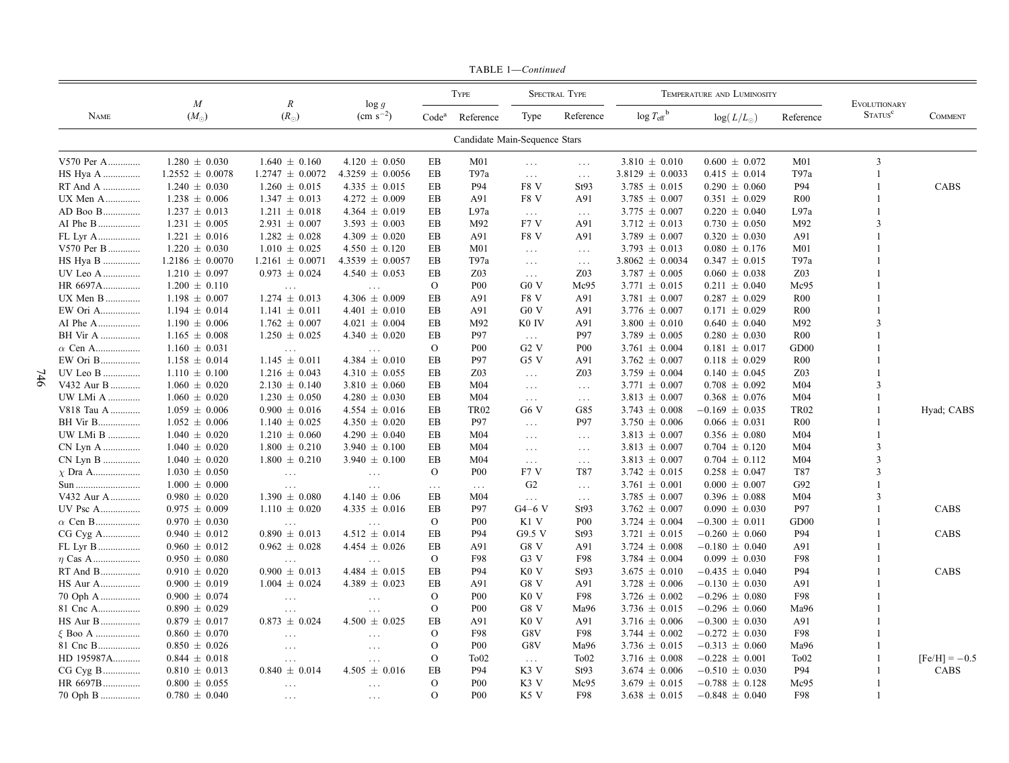|                               |                                            | $\boldsymbol{M}$    | $\boldsymbol{R}$               | $\log g$<br>$\rm (cm \; s^{-2})$ |                   | <b>TYPE</b>          |                               | <b>SPECTRAL TYPE</b> |                                  | TEMPERATURE AND LUMINOSITY |                  | EVOLUTIONARY<br>STATUS <sup>c</sup> | <b>COMMENT</b>  |
|-------------------------------|--------------------------------------------|---------------------|--------------------------------|----------------------------------|-------------------|----------------------|-------------------------------|----------------------|----------------------------------|----------------------------|------------------|-------------------------------------|-----------------|
|                               | <b>NAME</b>                                | $(M_{\odot})$       | $(R_{\odot})$                  |                                  | Code <sup>a</sup> | Reference            | Type                          | Reference            | $\log T_{\text{eff}}^{\text{b}}$ | $log(L/L_{\odot})$         | Reference        |                                     |                 |
| Candidate Main-Sequence Stars |                                            |                     |                                |                                  |                   |                      |                               |                      |                                  |                            |                  |                                     |                 |
|                               | V570 Per A                                 | $1.280 \pm 0.030$   | $1.640 \pm 0.160$              | $4.120 \pm 0.050$                | ΕB                | M <sub>01</sub>      | $\ldots$                      | $\ldots$             | $3.810 \pm 0.010$                | $0.600 \pm 0.072$          | M <sub>01</sub>  | $\overline{3}$                      |                 |
|                               | HS Hya A                                   | $1.2552 \pm 0.0078$ | $1.2747 \pm 0.0072$            | $4.3259 \pm 0.0056$              | EB                | T97a                 | $\ldots$                      | $\ldots$             | $3.8129 \pm 0.0033$              | $0.415 \pm 0.014$          | T97a             |                                     |                 |
|                               | RT And A                                   | $1.240 \pm 0.030$   | $1.260 \pm 0.015$              | $4.335 \pm 0.015$                | EB                | P94                  | F8 <sub>V</sub>               | St93                 | $3.785 \pm 0.015$                | $0.290 \pm 0.060$          | P94              |                                     | CABS            |
|                               | UX Men A                                   | $1.238 \pm 0.006$   | $1.347 \pm 0.013$              | $4.272 \pm 0.009$                | EB                | A91                  | F8 V                          | A91                  | $3.785 \pm 0.007$                | $0.351 \pm 0.029$          | <b>R00</b>       |                                     |                 |
|                               | AD Boo B                                   | $1.237 \pm 0.013$   | $1.211 \pm 0.018$              | $4.364 \pm 0.019$                | EB                | L97a                 | $\ldots$                      | $\ldots$             | $3.775 \pm 0.007$                | $0.220 \pm 0.040$          | L97a             |                                     |                 |
|                               | AI Phe B                                   | $1.231 \pm 0.005$   | $2.931 \pm 0.007$              | $3.593 \pm 0.003$                | EB                | M92                  | F7 V                          | A91                  | $3.712 \pm 0.013$                | $0.730 \pm 0.050$          | M92              |                                     |                 |
|                               | $\ensuremath{\mathsf{FL}}\xspace$ Lyr A    | $1.221 \pm 0.016$   | $1.282 \pm 0.028$              | 4.309 $\pm$ 0.020                | EB                | A91                  | F8 <sub>V</sub>               | A91                  | $3.789 \pm 0.007$                | $0.320 \pm 0.030$          | A91              |                                     |                 |
|                               | V570 Per B                                 | $1.220 \pm 0.030$   | $1.010 \pm 0.025$              | $4.550 \pm 0.120$                | EB                | M <sub>01</sub>      | $\sim$ .                      | $\ldots$             | $3.793 \pm 0.013$                | $0.080 \pm 0.176$          | M <sub>01</sub>  |                                     |                 |
|                               | HS Hya B                                   | $1.2186 \pm 0.0070$ | $1.2161 \pm 0.0071$            | $4.3539 \pm 0.0057$              | ΕB                | T97a                 | $\sim$ $\sim$ $\sim$          | $\sim$ $\sim$ $\sim$ | $3.8062 \pm 0.0034$              | $0.347 \pm 0.015$          | T97a             |                                     |                 |
|                               | UV Leo A                                   | $1.210 \pm 0.097$   | $0.973 \pm 0.024$              | $4.540 \pm 0.053$                | EВ                | Z <sub>03</sub>      | $\ldots$                      | Z <sub>03</sub>      | $3.787 \pm 0.005$                | $0.060 \pm 0.038$          | Z <sub>03</sub>  |                                     |                 |
|                               | HR 6697A                                   | $1.200 \pm 0.110$   | $\ldots$                       | $\sim$ $\sim$ $\sim$             | $\mathbf{O}$      | P <sub>00</sub>      | G0 V                          | Mc95                 | $3.771 \pm 0.015$                | $0.211 \pm 0.040$          | Mc95             |                                     |                 |
|                               | UX Men B                                   | $1.198 \pm 0.007$   | $1.274 \pm 0.013$              | 4.306 $\pm$ 0.009                | EB                | A91                  | F8 V                          | A91                  | $3.781 \pm 0.007$                | $0.287 \pm 0.029$          | R00              |                                     |                 |
|                               | EW Ori A                                   | $1.194 \pm 0.014$   | $1.141 \pm 0.011$              | $4.401 \pm 0.010$                | EB                | A91                  | G0 V                          | A91                  | $3.776 \pm 0.007$                | $0.171 \pm 0.029$          | R <sub>00</sub>  |                                     |                 |
|                               | AI Phe A                                   | $1.190 \pm 0.006$   | $1.762 \pm 0.007$              | $4.021 \pm 0.004$                | EB                | M92                  | K <sub>0</sub> IV             | A91                  | $3.800 \pm 0.010$                | $0.640 \pm 0.040$          | M92              |                                     |                 |
|                               | <b>BH</b> Vir A                            | $1.165 \pm 0.008$   | $1.250 \pm 0.025$              | $4.340 \pm 0.020$                | EB                | P97                  | $\mathcal{L}_{\mathcal{A}}$ . | P97                  | $3.789 \pm 0.005$                | $0.280 \pm 0.030$          | $_{\rm R00}$     |                                     |                 |
|                               | $\alpha$ Cen A                             | $1.160 \pm 0.031$   | $\ldots$                       | $\sim$ $\sim$ $\sim$             | $\mathbf{O}$      | <b>P00</b>           | $G2$ V                        | <b>P00</b>           | $3.761 \pm 0.004$                | $0.181 \pm 0.017$          | GD <sub>00</sub> |                                     |                 |
|                               | EW Ori B                                   | $1.158 \pm 0.014$   | $1.145 \pm 0.011$              | 4.384 $\pm$ 0.010                | EB                | <b>P97</b>           | G5V                           | A91                  | $3.762 \pm 0.007$                | $0.118 \pm 0.029$          | <b>R00</b>       |                                     |                 |
|                               | UV Leo B                                   | $1.110 \pm 0.100$   | $1.216 \pm 0.043$              | $4.310 \pm 0.055$                | EB                | Z03                  | $\sim$ $\sim$ $\sim$          | Z03                  | $3.759 \pm 0.004$                | $0.140 \pm 0.045$          | Z03              |                                     |                 |
|                               | V432 Aur B                                 | $1.060 \pm 0.020$   | $2.130 \pm 0.140$              | $3.810 \pm 0.060$                | EB                | M <sub>04</sub>      | $\sim$ $\sim$ $\sim$          | $\sim$ $\sim$ $\sim$ | $3.771 \pm 0.007$                | $0.708 \pm 0.092$          | M <sub>04</sub>  | 3                                   |                 |
|                               | UW LMi A                                   | $1.060 \pm 0.020$   | $1.230 \pm 0.050$              | $4.280 \pm 0.030$                | EB                | M <sub>04</sub>      | $\ldots$                      | $\ldots$             | $3.813 \pm 0.007$                | $0.368 \pm 0.076$          | M <sub>04</sub>  |                                     |                 |
|                               | $V818$ Tau A $\dots\dots\dots\dots$        | $1.059 \pm 0.006$   | $0.900 \pm 0.016$              | $4.554 \pm 0.016$                | EB                | <b>TR02</b>          | G6 V                          | G85                  | $3.743 \pm 0.008$                | $-0.169 \pm 0.035$         | <b>TR02</b>      |                                     | Hyad; CABS      |
|                               | <b>BH</b> Vir B                            | $1.052 \pm 0.006$   | $1.140 \pm 0.025$              | $4.350 \pm 0.020$                | EB                | P97                  | $\sim$ $\sim$ $\sim$          | P97                  | $3.750 \pm 0.006$                | $0.066 \pm 0.031$          | $_{\rm R00}$     |                                     |                 |
|                               | UW LMi B                                   | $1.040 \pm 0.020$   | $1.210 \pm 0.060$              | 4.290 $\pm$ 0.040                | EΒ                | M <sub>04</sub>      | $\sim$ $\sim$ $\sim$          | $\ldots$             | $3.813 \pm 0.007$                | $0.356 \pm 0.080$          | M <sub>04</sub>  |                                     |                 |
|                               | CN Lyn A                                   | $1.040 \pm 0.020$   | $1.800 \pm 0.210$              | $3.940 \pm 0.100$                | EB                | M <sub>04</sub>      | $\ldots$                      | $\ldots$             | $3.813 \pm 0.007$                | $0.704 \pm 0.120$          | M <sub>04</sub>  | 3                                   |                 |
|                               | ${\rm CN}$ Lyn B                           | $1.040 \pm 0.020$   | $1.800 \pm 0.210$              | $3.940 \pm 0.100$                | EB                | M <sub>04</sub>      | $\ldots$                      | $\ldots$             | $3.813 \pm 0.007$                | $0.704 \pm 0.112$          | M <sub>04</sub>  | $\mathbf{3}$                        |                 |
|                               | $\chi$ Dra A                               | $1.030 \pm 0.050$   | $\sim$ $\sim$ $\sim$           | $\ldots$                         | $\mathcal{O}$     | P <sub>00</sub>      | F7 V                          | T87                  | $3.742 \pm 0.015$                | $0.258 \pm 0.047$          | T87              | $\mathbf{3}$                        |                 |
|                               | Sun                                        | $1.000 \pm 0.000$   | $\ldots$                       | $\sim$ $\sim$ $\sim$             | $\ldots$          | $\sim$ $\sim$ $\sim$ | G <sub>2</sub>                | $\ldots$             | $3.761 \pm 0.001$                | $0.000 \pm 0.007$          | G92              |                                     |                 |
|                               | V432 Aur A                                 | $0.980 \pm 0.020$   | $1.390 \pm 0.080$              | $4.140 \pm 0.06$                 | EB                | M <sub>04</sub>      | $\ldots$                      | $\sim$ $\sim$ $\sim$ | $3.785 \pm 0.007$                | $0.396 \pm 0.088$          | M <sub>04</sub>  |                                     |                 |
|                               | UV Psc A                                   | $0.975 \pm 0.009$   | $1.110 \pm 0.020$              | 4.335 $\pm$ 0.016                | ΕB                | P97                  | $G4-6$ V                      | St93                 | $3.762 \pm 0.007$                | $0.090 \pm 0.030$          | P97              |                                     | CABS            |
|                               | $\alpha$ Cen B                             | $0.970 \pm 0.030$   | $\ldots$ .                     | $\cdots$                         | $\mathbf{O}$      | <b>P00</b>           | K1 V                          | <b>P00</b>           | $3.724 \pm 0.004$                | $-0.300 \pm 0.011$         | GD <sub>00</sub> |                                     |                 |
|                               | CG Cyg A                                   | $0.940 \pm 0.012$   | $0.890 \pm 0.013$              | $4.512 \pm 0.014$                | EB                | P94                  | G9.5 V                        | St93                 | $3.721 \pm 0.015$                | $-0.260 \pm 0.060$         | P94              |                                     | CABS            |
|                               | FL Lyr B                                   | $0.960 \pm 0.012$   | $0.962 \pm 0.028$              | $4.454 \pm 0.026$                | EB                | A91                  | G8 V                          | A91                  | $3.724 \pm 0.008$                | $-0.180 \pm 0.040$         | A91              |                                     |                 |
|                               | $\eta$ Cas A                               | $0.950 \pm 0.080$   | $\ddotsc$                      |                                  | $\mathcal{O}$     | F98                  | G <sub>3</sub> V              | F98                  | $3.784 \pm 0.004$                | $0.099 \pm 0.030$          | F98              |                                     |                 |
|                               | $\operatorname{RT}$ And $\operatorname{B}$ | $0.910 \pm 0.020$   | $0.900 \pm 0.013$              | 4.484 $\pm$ 0.015                | EB                | P94                  | K <sub>0</sub> V              | St93                 | $3.675 \pm 0.010$                | $-0.435 \pm 0.040$         | P94              |                                     | CABS            |
|                               | HS Aur A                                   | $0.900 \pm 0.019$   | $1.004 \pm 0.024$              | 4.389 $\pm$ 0.023                | EB                | A91                  | G8 V                          | A91                  | $3.728 \pm 0.006$                | $-0.130 \pm 0.030$         | A91              |                                     |                 |
|                               | 70 Oph A                                   | $0.900 \pm 0.074$   | $\ldots$                       | $\ldots$                         | $\Omega$          | <b>P00</b>           | K <sub>0</sub> V              | F98                  | $3.726 \pm 0.002$                | $-0.296 \pm 0.080$         | F98              |                                     |                 |
|                               | 81 Cnc A                                   | $0.890 \pm 0.029$   |                                |                                  | $\Omega$          | <b>P00</b>           | G8 V                          | Ma96                 | $3.736 \pm 0.015$                | $-0.296 \pm 0.060$         | Ma96             |                                     |                 |
|                               | HS Aur B                                   | $0.879 \pm 0.017$   | $\ldots$<br>$0.873 \pm 0.024$  | $\cdots$<br>$4.500 \pm 0.025$    | EΒ                | A91                  | K <sub>0</sub> V              | A91                  | $3.716 \pm 0.006$                | $-0.300 \pm 0.030$         | A91              |                                     |                 |
|                               | $\xi$ Boo A                                | $0.860 \pm 0.070$   |                                |                                  | $\mathbf{O}$      | F98                  | G8V                           | F98                  | 3.744 $\pm$ 0.002                | $-0.272 \pm 0.030$         | F98              |                                     |                 |
|                               | 81 Cnc B                                   | $0.850 \pm 0.026$   | $\ldots$                       | $\cdots$                         | $\mathbf{O}$      | P <sub>00</sub>      | G8V                           | Ma96                 | $3.736 \pm 0.015$                | $-0.313 \pm 0.060$         | Ma96             |                                     |                 |
|                               | HD 195987A                                 | $0.844 \pm 0.018$   | $\ldots$ .                     | $\cdots$                         | $\mathbf{O}$      | To <sub>02</sub>     |                               | To <sub>02</sub>     | $3.716 \pm 0.008$                | $-0.228 \pm 0.001$         | To <sub>02</sub> |                                     | $[Fe/H] = -0.5$ |
|                               | CG Cyg B                                   | $0.810 \pm 0.013$   | $\ddotsc$<br>$0.840 \pm 0.014$ | $\ldots$<br>$4.505 \pm 0.016$    | EΒ                | P94                  | $\sim$ $\sim$ $\sim$<br>K3 V  | St93                 | $3.674 \pm 0.006$                | $-0.510 \pm 0.030$         | P94              |                                     | CABS            |
|                               | HR 6697B                                   | $0.800 \pm 0.055$   |                                |                                  | $\Omega$          | <b>P00</b>           | K3 V                          | Mc95                 | $3.679 \pm 0.015$                | $-0.788 \pm 0.128$         | Mc95             |                                     |                 |
|                               |                                            |                     | $\ldots$                       | $\cdots$                         |                   |                      |                               |                      |                                  |                            |                  |                                     |                 |
|                               | 70 Oph B                                   | $0.780 \pm 0.040$   | $\ldots$ .                     | $\cdots$                         | $\Omega$          | <b>P00</b>           | K5 V                          | F98                  | $3.638 \pm 0.015$                | $-0.848 \pm 0.040$         | F98              |                                     |                 |

TABLE 1-Continued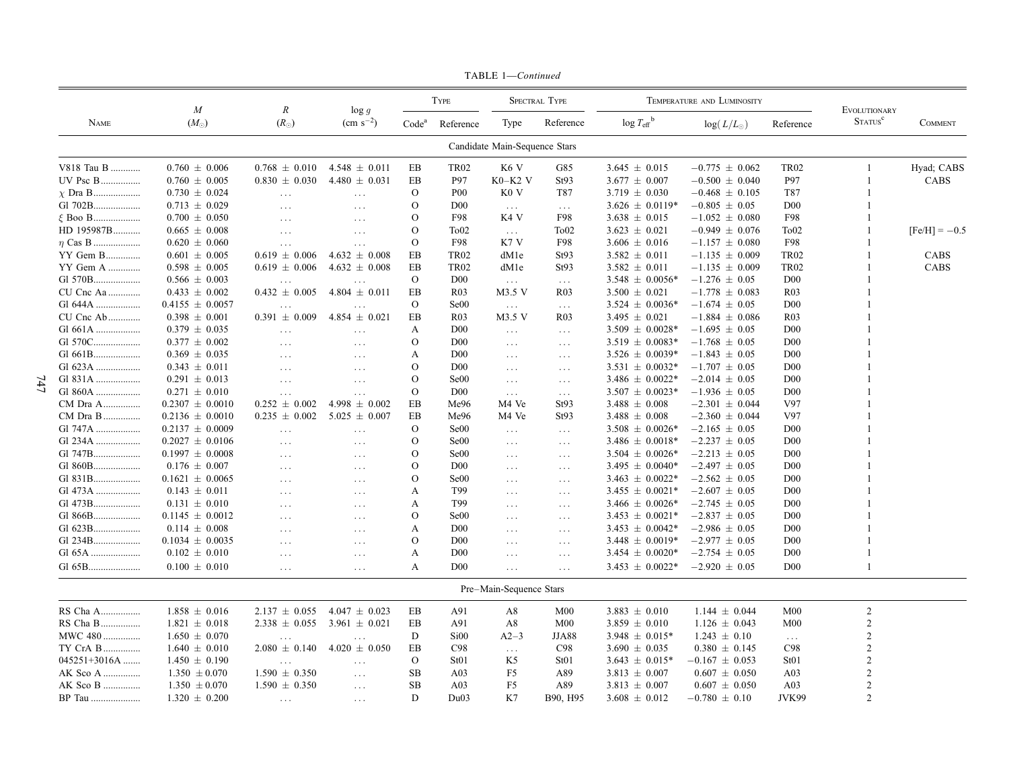|              | $\boldsymbol{M}$    | $\it R$           |                                  | <b>TYPE</b>       |                  | <b>SPECTRAL TYPE</b>          |                      |                                            | TEMPERATURE AND LUMINOSITY |                      | EVOLUTIONARY               |                 |
|--------------|---------------------|-------------------|----------------------------------|-------------------|------------------|-------------------------------|----------------------|--------------------------------------------|----------------------------|----------------------|----------------------------|-----------------|
| <b>NAME</b>  | $(M_{\odot})$       | $(R_{\odot})$     | $\log g$<br>$\rm (cm \; s^{-2})$ | Code <sup>a</sup> | Reference        | Type                          | Reference            | $\log T_{\text{eff}}^{\text{b}}$           | $log(L/L_{\odot})$         | Reference            | <b>STATUS</b> <sup>c</sup> | <b>COMMENT</b>  |
|              |                     |                   |                                  |                   |                  | Candidate Main-Sequence Stars |                      |                                            |                            |                      |                            |                 |
| V818 Tau B   | $0.760 \pm 0.006$   | $0.768 \pm 0.010$ | $4.548 \pm 0.011$                | ΕB                | <b>TR02</b>      | K <sub>6</sub> V              | G85                  | $3.645 \pm 0.015$                          | $-0.775 \pm 0.062$         | <b>TR02</b>          | -1                         | Hyad; CABS      |
|              | $0.760 \pm 0.005$   | $0.830 \pm 0.030$ | $4.480 \pm 0.031$                | EB                | <b>P97</b>       | $K0-K2$ V                     | St93                 | $3.677 \pm 0.007$                          | $-0.500 \pm 0.040$         | P97                  | -1                         | CABS            |
| $\chi$ Dra B | $0.730 \pm 0.024$   | $\ldots$          | $\sim$ $\sim$ $\sim$             | $\Omega$          | P <sub>00</sub>  | K0 V                          | T87                  | $3.719 \pm 0.030$                          | $-0.468 \pm 0.105$         | T87                  |                            |                 |
| Gl 702B      | $0.713 \pm 0.029$   | $\ldots$          | $\ldots$                         | $\Omega$          | D <sub>00</sub>  | $\ldots$                      | $\sim$ $\sim$ $\sim$ | $3.626 \pm 0.0119*$                        | $-0.805 \pm 0.05$          | D <sub>00</sub>      |                            |                 |
| $\xi$ Boo B  | $0.700 \pm 0.050$   | $\cdots$          | $\cdots$                         | $\mathbf{O}$      | F98              | K4 V                          | F98                  | $3.638 \pm 0.015$                          | $-1.052 \pm 0.080$         | F98                  |                            |                 |
| HD 195987B   | $0.665 \pm 0.008$   | $\ldots$          | $\cdots$                         | $\Omega$          | To <sub>02</sub> | $\sim$ $\sim$ $\sim$          | To <sub>02</sub>     | $3.623 \pm 0.021$                          | $-0.949 \pm 0.076$         | To <sub>02</sub>     |                            | $[Fe/H] = -0.5$ |
| $\eta$ Cas B | $0.620 \pm 0.060$   | $\ldots$          | $\sim$ $\sim$ $\sim$             | $\mathbf{O}$      | F98              | K7V                           | F98                  | $3.606 \pm 0.016$                          | $-1.157 \pm 0.080$         | F98                  |                            |                 |
| YY Gem B     | $0.601 \pm 0.005$   | $0.619 \pm 0.006$ | $4.632 \pm 0.008$                | EB                | <b>TR02</b>      | dM1e                          | St93                 | $3.582 \pm 0.011$                          | $-1.135 \pm 0.009$         | <b>TR02</b>          |                            | CABS            |
| YY Gem A     | $0.598 \pm 0.005$   | $0.619 \pm 0.006$ | $4.632 \pm 0.008$                | EB                | <b>TR02</b>      | dM1e                          | St93                 | $3.582 \pm 0.011$                          | $-1.135 \pm 0.009$         | <b>TR02</b>          |                            | CABS            |
| Gl 570B      | $0.566 \pm 0.003$   | $\cdots$          | $\ddots$                         | $\mathbf{O}$      | D <sub>00</sub>  | $\sim$ $\sim$ $\sim$          | $\sim$ $\sim$ $\sim$ | $3.548 \pm 0.0056*$                        | $-1.276 \pm 0.05$          | D <sub>00</sub>      |                            |                 |
| CU Cnc Aa    | $0.433 \pm 0.002$   | $0.432 \pm 0.005$ | $4.804 \pm 0.011$                | EB                | R <sub>03</sub>  | M3.5 V                        | <b>R03</b>           | $3.500 \pm 0.021$                          | $-1.778 \pm 0.083$         | R <sub>03</sub>      |                            |                 |
| G1 644A      | $0.4155 \pm 0.0057$ | $\ldots$          | $\sim$ $\sim$ $\sim$             | $\mathbf{O}$      | Se00             | $\ldots$                      | $\ldots$ .           | $3.524 \pm 0.0036*$                        | $-1.674 \pm 0.05$          | D <sub>00</sub>      |                            |                 |
| CU Cnc Ab    | $0.398 \pm 0.001$   | $0.391 \pm 0.009$ | $4.854 \pm 0.021$                | EB                | R <sub>03</sub>  | M3.5 V                        | R <sub>0</sub> 3     | $3.495 \pm 0.021$                          | $-1.884 \pm 0.086$         | R03                  |                            |                 |
| Gl 661A      | $0.379 \pm 0.035$   | $\ldots$          | $\ldots$                         | A                 | D <sub>00</sub>  | $\ldots$                      | $\ldots$             | $3.509 \pm 0.0028*$                        | $-1.695 \pm 0.05$          | D <sub>00</sub>      |                            |                 |
| G1 570C      | $0.377 \pm 0.002$   | $\cdots$          | $\ldots$                         | $\mathbf{O}$      | D <sub>00</sub>  | $\ldots$                      | $\ldots$             | $3.519 \pm 0.0083*$                        | $-1.768 \pm 0.05$          | D <sub>00</sub>      |                            |                 |
| G1 661B      | $0.369 \pm 0.035$   | $\ldots$          | $\cdots$                         | A                 | D <sub>00</sub>  | $\ldots$                      | $\cdots$             | $3.526 \pm 0.0039*$                        | $-1.843 \pm 0.05$          | D <sub>00</sub>      |                            |                 |
| Gl 623A      | $0.343 \pm 0.011$   | $\ddots$          | $\cdots$                         | $\mathbf{O}$      | D <sub>00</sub>  | $\ldots$                      | $\ldots$             | $3.531 \pm 0.0032*$                        | $-1.707 \pm 0.05$          | D <sub>00</sub>      |                            |                 |
| Gl 831A      | $0.291 \pm 0.013$   | $\cdots$          | $\cdots$                         | O                 | Se <sub>00</sub> | $\ldots$                      | $\cdots$             | $3.486 \pm 0.0022*$                        | $-2.014 \pm 0.05$          | D <sub>00</sub>      |                            |                 |
| G1 860A      | $0.271 \pm 0.010$   | $\ldots$          | $\sim$ $\sim$ $\sim$             | $\mathbf{O}$      | D <sub>00</sub>  | $\ldots$                      | $\sim$ $\sim$ $\sim$ | $3.507 \pm 0.0023*$                        | $-1.936 \pm 0.05$          | D <sub>00</sub>      |                            |                 |
| CM Dra A     | $0.2307 \pm 0.0010$ | $0.252 \pm 0.002$ | $4.998 \pm 0.002$                | EB                | Me96             | M4 Ve                         | St93                 | $3.488 \pm 0.008$                          | $-2.301 \pm 0.044$         | V97                  |                            |                 |
| CM Dra B     | $0.2136 \pm 0.0010$ | $0.235 \pm 0.002$ | $5.025 \pm 0.007$                | EB                | Me96             | M4 Ve                         | St93                 | $3.488 \pm 0.008$                          | $-2.360 \pm 0.044$         | V97                  |                            |                 |
| Gl 747A      | $0.2137 \pm 0.0009$ |                   |                                  | $\Omega$          | Se00             |                               |                      | $3.508 \pm 0.0026*$                        | $-2.165 \pm 0.05$          | D <sub>00</sub>      |                            |                 |
| Gl 234A      | $0.2027 \pm 0.0106$ | $\ddots$          | $\cdots$                         | $\mathbf{O}$      | Se <sub>00</sub> | $\ldots$                      | $\cdots$             |                                            | $-2.237 \pm 0.05$          | D <sub>00</sub>      |                            |                 |
| Gl 747B      |                     | $\cdots$          | $\ldots$                         | $\Omega$          | Se00             | $\ldots$                      | $\ldots$             | $3.486 \pm 0.0018*$<br>$3.504 \pm 0.0026*$ | $-2.213 \pm 0.05$          | D <sub>00</sub>      |                            |                 |
|              | $0.1997 \pm 0.0008$ | $\ddots$          | $\cdots$                         |                   | D <sub>00</sub>  | $\ldots$                      | $\cdots$             |                                            |                            | D <sub>00</sub>      |                            |                 |
| Gl 860B      | $0.176 \pm 0.007$   | $\ddots$          | $\cdots$                         | O<br>$\Omega$     |                  | $\ldots$                      | $\ldots$             | $3.495 \pm 0.0040*$                        | $-2.497 \pm 0.05$          |                      |                            |                 |
| Gl 831B      | $0.1621 \pm 0.0065$ | $\cdot$           | $\cdot$                          |                   | Se00             | $\cdots$                      | $\cdots$             | $3.463 \pm 0.0022*$                        | $-2.562 \pm 0.05$          | D <sub>00</sub>      |                            |                 |
| Gl 473A      | $0.143 \pm 0.011$   | $\ddots$          | $\cdots$                         | A                 | T99              | $\ldots$                      | $\ldots$             | $3.455 \pm 0.0021*$                        | $-2.607 \pm 0.05$          | D <sub>00</sub>      |                            |                 |
| Gl 473B      | $0.131 \pm 0.010$   | $\cdots$          | $\ddots$                         | A                 | T99              | $\ldots$                      | $\ldots$             | $3.466 \pm 0.0026*$                        | $-2.745 \pm 0.05$          | D <sub>00</sub>      |                            |                 |
| G1 866B      | $0.1145 \pm 0.0012$ | $\cdot$           | $\cdot$                          | $\Omega$          | Se00             | $\cdot$                       | $\ldots$             | $3.453 \pm 0.0021*$                        | $-2.837 \pm 0.05$          | D <sub>00</sub>      |                            |                 |
| Gl 623B      | $0.114 \pm 0.008$   | $\ddots$          | $\cdots$                         | A                 | D <sub>00</sub>  | $\ldots$                      | $\ldots$             | $3.453 \pm 0.0042*$                        | $-2.986 \pm 0.05$          | D00                  |                            |                 |
| Gl 234B      | $0.1034 \pm 0.0035$ | $\cdots$          | $\cdots$                         | $\mathbf{O}$      | D <sub>00</sub>  | $\ldots$                      | $\ldots$             | $3.448 \pm 0.0019*$                        | $-2.977 \pm 0.05$          | D <sub>0</sub>       |                            |                 |
| G1 65A       | $0.102 \pm 0.010$   | $\cdots$          | $\cdots$                         | A                 | D <sub>00</sub>  | $\ldots$                      | $\ldots$             | $3.454 \pm 0.0020*$                        | $-2.754 \pm 0.05$          | D <sub>00</sub>      |                            |                 |
| Gl 65B       | $0.100 \pm 0.010$   | $\ldots$          | $\sim$ $\sim$ $\sim$             | A                 | D <sub>00</sub>  | $\sim 100$                    | $\ldots$             | $3.453 \pm 0.0022*$                        | $-2.920 \pm 0.05$          | D <sub>00</sub>      |                            |                 |
|              |                     |                   |                                  |                   |                  | Pre-Main-Sequence Stars       |                      |                                            |                            |                      |                            |                 |
| RS Cha A     | $1.858 \pm 0.016$   | $2.137 \pm 0.055$ | $4.047 \pm 0.023$                | EB                | A91              | A8                            | M <sub>00</sub>      | $3.883 \pm 0.010$                          | $1.144 \pm 0.044$          | M <sub>00</sub>      | $\overline{2}$             |                 |
| RS Cha B     | $1.821 \pm 0.018$   | $2.338 \pm 0.055$ | $3.961 \pm 0.021$                | EB                | A91              | A8                            | M <sub>00</sub>      | $3.859 \pm 0.010$                          | $1.126 \pm 0.043$          | M <sub>00</sub>      | $\overline{2}$             |                 |
| MWC 480      | $1.650 \pm 0.070$   | $\ddots$          | $\sim$ $\sim$ $\sim$             | D                 | Si <sub>00</sub> | $A2-3$                        | <b>JJA88</b>         | $3.948 \pm 0.015*$                         | $1.243 \pm 0.10$           | $\sim$ $\sim$ $\sim$ | $\overline{2}$             |                 |
| TY CrA B     | $1.640 \pm 0.010$   | $2.080 \pm 0.140$ | $4.020 \pm 0.050$                | EB                | C98              | $\ldots$                      | C98                  | $3.690 \pm 0.035$                          | $0.380 \pm 0.145$          | C98                  | $\overline{2}$             |                 |
| 045251+3016A | $1.450 \pm 0.190$   | $\cdots$          | $\cdots$                         | $\mathbf{O}$      | St <sub>01</sub> | K <sub>5</sub>                | St <sub>01</sub>     | $3.643 \pm 0.015*$                         | $-0.167 \pm 0.053$         | St <sub>01</sub>     | $\overline{2}$             |                 |
| AK Sco A     | $1.350 \pm 0.070$   | $1.590 \pm 0.350$ | $\cdots$                         | SB                | A <sub>03</sub>  | F5                            | A89                  | $3.813 \pm 0.007$                          | $0.607 \pm 0.050$          | A <sub>03</sub>      | $\overline{2}$             |                 |
| AK Sco B     | $1.350 \pm 0.070$   | $1.590 \pm 0.350$ | $\sim$ . $\sim$                  | <b>SB</b>         | A03              | F <sub>5</sub>                | A89                  | $3.813 \pm 0.007$                          | $0.607 \pm 0.050$          | A03                  | $\overline{2}$             |                 |
| BP Tau       | $1.320 \pm 0.200$   | $\cdots$          | $\cdots$                         | D                 | Du03             | K7                            | B90, H95             | $3.608 \pm 0.012$                          | $-0.780 \pm 0.10$          | JVK99                | $\overline{c}$             |                 |

TABLE 1-Continued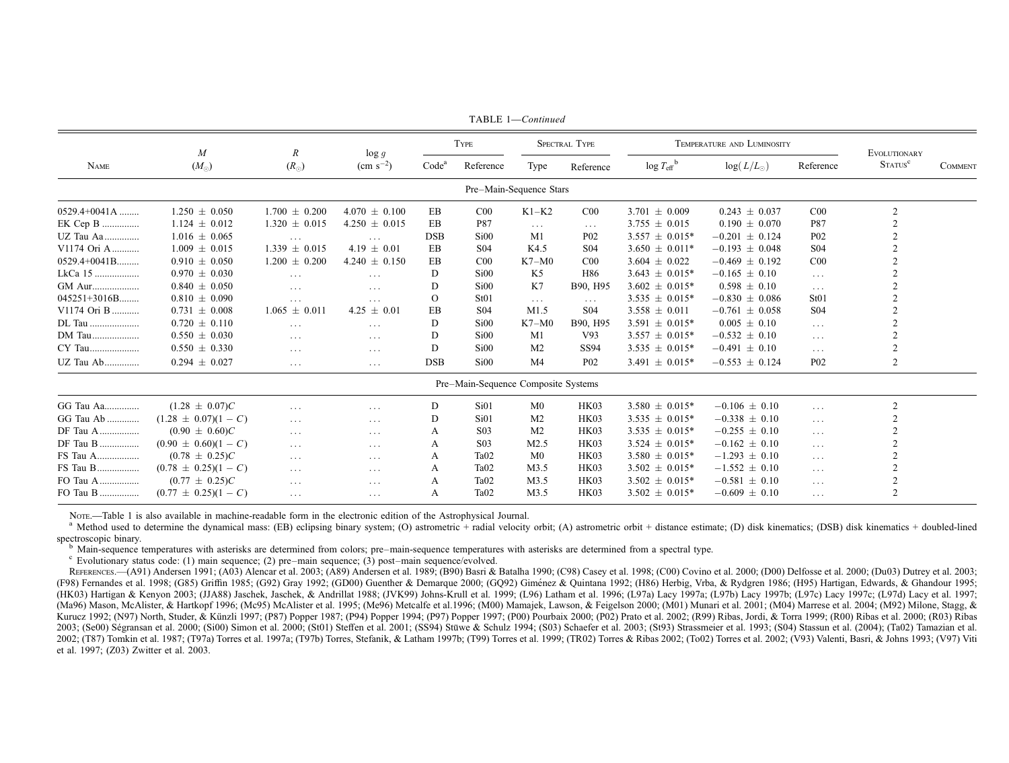|                | $\boldsymbol{M}$<br>$(M_{\odot})$ | $\boldsymbol{R}$<br>$(R_{\odot})$ | $\log g$<br>$\rm (cm \; s^{-2})$ | <b>TYPE</b>       |                                     |                         | SPECTRAL TYPE        | TEMPERATURE AND LUMINOSITY       |                    |                  | EVOLUTIONARY        |                |
|----------------|-----------------------------------|-----------------------------------|----------------------------------|-------------------|-------------------------------------|-------------------------|----------------------|----------------------------------|--------------------|------------------|---------------------|----------------|
| <b>NAME</b>    |                                   |                                   |                                  | Code <sup>a</sup> | Reference                           | Type                    | Reference            | $\log T_{\text{eff}}^{\text{b}}$ | $log(L/L_{\odot})$ | Reference        | STATUS <sup>c</sup> | <b>COMMENT</b> |
|                |                                   |                                   |                                  |                   |                                     | Pre-Main-Sequence Stars |                      |                                  |                    |                  |                     |                |
| $0529.4+0041A$ | $1.250 \pm 0.050$                 | $1.700 \pm 0.200$                 | $4.070 \pm 0.100$                | EB                | CO <sub>0</sub>                     | $K1-K2$                 | CO <sub>0</sub>      | $3.701 \pm 0.009$                | $0.243 \pm 0.037$  | CO <sub>0</sub>  | 2                   |                |
| EK Cep B       | $1.124 \pm 0.012$                 | $1.320 \pm 0.015$                 | $4.250 \pm 0.015$                | EB                | P87                                 | $\cdots$                | $\sim$ $\sim$ $\sim$ | $3.755 \pm 0.015$                | $0.190 \pm 0.070$  | P87              |                     |                |
| UZ Tau Aa      | $1.016 \pm 0.065$                 | $\cdots$                          | $\cdots$                         | <b>DSB</b>        | Si00                                | M1                      | P <sub>02</sub>      | $3.557 \pm 0.015*$               | $-0.201 \pm 0.124$ | P <sub>02</sub>  | $\overline{2}$      |                |
| V1174 Ori A    | $1.009 \pm 0.015$                 | $1.339 \pm 0.015$                 | $4.19 \pm 0.01$                  | EB                | S <sub>04</sub>                     | K4.5                    | S <sub>04</sub>      | $3.650 \pm 0.011*$               | $-0.193 \pm 0.048$ | S <sub>04</sub>  | $\overline{c}$      |                |
| $0529.4+0041B$ | $0.910 \pm 0.050$                 | $1.200 \pm 0.200$                 | $4.240 \pm 0.150$                | EB                | CO <sub>0</sub>                     | $K7-M0$                 | CO <sub>0</sub>      | $3.604 \pm 0.022$                | $-0.469 \pm 0.192$ | CO <sub>0</sub>  | $\overline{2}$      |                |
| LkCa 15        | $0.970 \pm 0.030$                 | $\ldots$ .                        | $\cdots$                         | D                 | Si00                                | K5                      | H86                  | $3.643 \pm 0.015*$               | $-0.165 \pm 0.10$  | $\cdots$         | $\overline{2}$      |                |
| GM Aur         | $0.840 \pm 0.050$                 | $\ldots$                          | $\cdots$                         | D                 | Si00                                | K7                      | B90, H95             | $3.602 \pm 0.015*$               | $0.598 \pm 0.10$   | $\cdots$         | $\overline{2}$      |                |
| $045251+3016B$ | $0.810 \pm 0.090$                 | $\ldots$                          | $\cdots$                         | $\Omega$          | St01                                | $\cdots$                | $\ldots$             | $3.535 \pm 0.015*$               | $-0.830 \pm 0.086$ | St <sub>01</sub> | $\overline{2}$      |                |
| V1174 Ori B    | $0.731 \pm 0.008$                 | $1.065 \pm 0.011$                 | $4.25 \pm 0.01$                  | EB                | S <sub>04</sub>                     | M1.5                    | S <sub>04</sub>      | $3.558 \pm 0.011$                | $-0.761 \pm 0.058$ | S <sub>04</sub>  | $\mathcal{D}$       |                |
| DL Tau         | $0.720 \pm 0.110$                 | $\cdots$                          | $\cdots$                         | D                 | Si00                                | $K7-M0$                 | B90, H95             | $3.591 \pm 0.015*$               | $0.005 \pm 0.10$   | $\ldots$         | $\overline{2}$      |                |
| DM Tau         | $0.550 \pm 0.030$                 | $\cdots$                          | $\cdots$                         | D                 | Si00                                | M1                      | V93                  | $3.557 \pm 0.015*$               | $-0.532 \pm 0.10$  | $\cdots$         | $\overline{c}$      |                |
| CY Tau         | $0.550 \pm 0.330$                 | $\ldots$ .                        | $\cdots$                         | D                 | Si00                                | M <sub>2</sub>          | <b>SS94</b>          | $3.535 \pm 0.015*$               | $-0.491 \pm 0.10$  | $\cdots$         | 2                   |                |
| UZ Tau Ab      | $0.294 \pm 0.027$                 | $\cdots$                          | $\cdots$                         | <b>DSB</b>        | Si <sub>00</sub>                    | M <sub>4</sub>          | P <sub>02</sub>      | 3.491 $\pm$ 0.015*               | $-0.553 \pm 0.124$ | P <sub>02</sub>  | $\overline{c}$      |                |
|                |                                   |                                   |                                  |                   | Pre-Main-Sequence Composite Systems |                         |                      |                                  |                    |                  |                     |                |
| GG Tau Aa      | $(1.28 \pm 0.07)C$                | $\cdots$                          | $\cdots$                         | D                 | Si01                                | M <sub>0</sub>          | HK03                 | $3.580 \pm 0.015*$               | $-0.106 \pm 0.10$  | $\cdots$         | 2                   |                |
| GG Tau Ab      | $(1.28 \pm 0.07)(1 - C)$          | $\sim$ $\sim$ $\sim$              | $\cdots$                         | D                 | Si01                                | M <sub>2</sub>          | HK03                 | $3.535 \pm 0.015*$               | $-0.338 \pm 0.10$  | $\cdots$         | $\overline{2}$      |                |
| DF Tau A       | $(0.90 \pm 0.60)C$                | $\ldots$ .                        | $\cdots$                         | A                 | S <sub>03</sub>                     | M <sub>2</sub>          | HK03                 | $3.535 \pm 0.015*$               | $-0.255 \pm 0.10$  | $\cdots$         | $\overline{c}$      |                |
| DF Tau B       | $(0.90 \pm 0.60)(1 - C)$          | $\cdots$                          | $\cdots$                         | A                 | S <sub>03</sub>                     | M2.5                    | HK03                 | $3.524 \pm 0.015*$               | $-0.162 \pm 0.10$  | $\cdots$         | $\overline{c}$      |                |
| FS Tau A       | $(0.78 \pm 0.25)C$                | $\cdots$                          | $\cdots$                         | A                 | Ta <sub>02</sub>                    | M <sub>0</sub>          | HK03                 | $3.580 \pm 0.015*$               | $-1.293 \pm 0.10$  | $\cdots$         | 2                   |                |
| FS Tau B       | $(0.78 \pm 0.25)(1 - C)$          | $\sim$ $\sim$ $\sim$              | $\cdots$                         | A                 | Ta <sub>02</sub>                    | M3.5                    | HK03                 | $3.502 \pm 0.015*$               | $-1.552 \pm 0.10$  | $\cdots$         | $\overline{2}$      |                |
| FO Tau A       | $(0.77 \pm 0.25)C$                | $\cdots$                          | $\cdots$                         | A                 | Ta <sub>02</sub>                    | M3.5                    | HK03                 | $3.502 \pm 0.015*$               | $-0.581 \pm 0.10$  | $\cdots$         | $\overline{c}$      |                |
| FO Tau B       | $(0.77 \pm 0.25)(1 - C)$          | $\cdots$                          | $\cdots$                         | A                 | Ta <sub>02</sub>                    | M3.5                    | HK03                 | $3.502 \pm 0.015*$               | $-0.609 \pm 0.10$  | $\cdots$         | $\overline{2}$      |                |

TABLE 1-Continued

Nore.—Table 1 is also available in machine-readable form in the electronic edition of the Astrophysical Journal.

<sup>a</sup> Method used to determine the dynamical mass: (EB) eclipsing binary system; (O) astrometric + radial velocity orbit; (A) astrometric orbit + distance estimate; (D) disk kinematics; (DSB) disk kinematics + doubled-lined spectroscopic binary.

<sup>b</sup> Main-sequence temperatures with asterisks are determined from colors; pre-main-sequence temperatures with asterisks are determined from a spectral type.

 $\degree$  Evolutionary status code: (1) main sequence; (2) pre-main sequence; (3) post-main sequence/evolved.

REFERENCES.—(A91) Andersen 1991; (A03) Alencar et al. 2003; (A89) Andersen et al. 1989; (B90) Basri & Batalha 1990; (C98) Casey et al. 1998; (C00) Covino et al. 2000; (D00) Delfosse et al. 2000; (Du03) Dutrey et al. 2003; (F98) Fernandes et al. 1998; (G85) Griffin 1985; (G92) Gray 1992; (GD00) Guenther & Demarque 2000; (GQ92) Giménez & Quintana 1992; (H86) Herbig, Vrba, & Rydgren 1986; (H95) Hartigan, Edwards, & Ghandour 1995; (HK03) Hartigan & Kenyon 2003; (JJA88) Jaschek, Jaschek, & Andrillat 1988; (JVK99) Johns-Krull et al. 1999; (L96) Latham et al. 1996; (L97a) Lacy 1997a; (L97b) Lacy 1997b; (L97c) Lacy 1997c; (L97d) Lacy 1997c; (L97d) Lacy (Ma96) Mason, McAlister, & Hartkopf 1996; (Mc95) McAlister et al. 1995; (Me96) Metcalfe et al. 1996; (M00) Mamajek, Lawson, & Feigelson 2000; (M01) Munari et al. 2001; (M04) Marrese et al. 2004; (M92) Milone, Stagg, & Kurucz 1992; (N97) North, Studer, & Künzli 1997; (P87) Popper 1987; (P94) Popper 1994; (P97) Popper 1997; (P00) Pourbaix 2000; (P02) Prato et al. 2002; (R99) Ribas, Jordi, & Torra 1999; (R00) Ribas et al. 2000; (R03) Ribas 2003; (Se00) Ségransan et al. 2000; (Si00) Simon et al. 2000; (St01) Steffen et al. 2001; (SS94) Stuve & Schulz 1994; (S03) Schaefer et al. 2003; (St93) Strassmeier et al. 1993; (S04) Stassun et al. (2004); (Ta02) Tamazian 2002; (T87) Tomkin et al. 1987; (T97a) Torres et al. 1997a; (T97b) Torres, Stefanik, & Latham 1997b; (T99) Torres et al. 1999; (TR02) Torres & Ribas 2002; (To02) Torres et al. 2002; (V93) Valenti, Basri, & Johns 1993; (V97 et al. 1997; (Z03) Zwitter et al. 2003.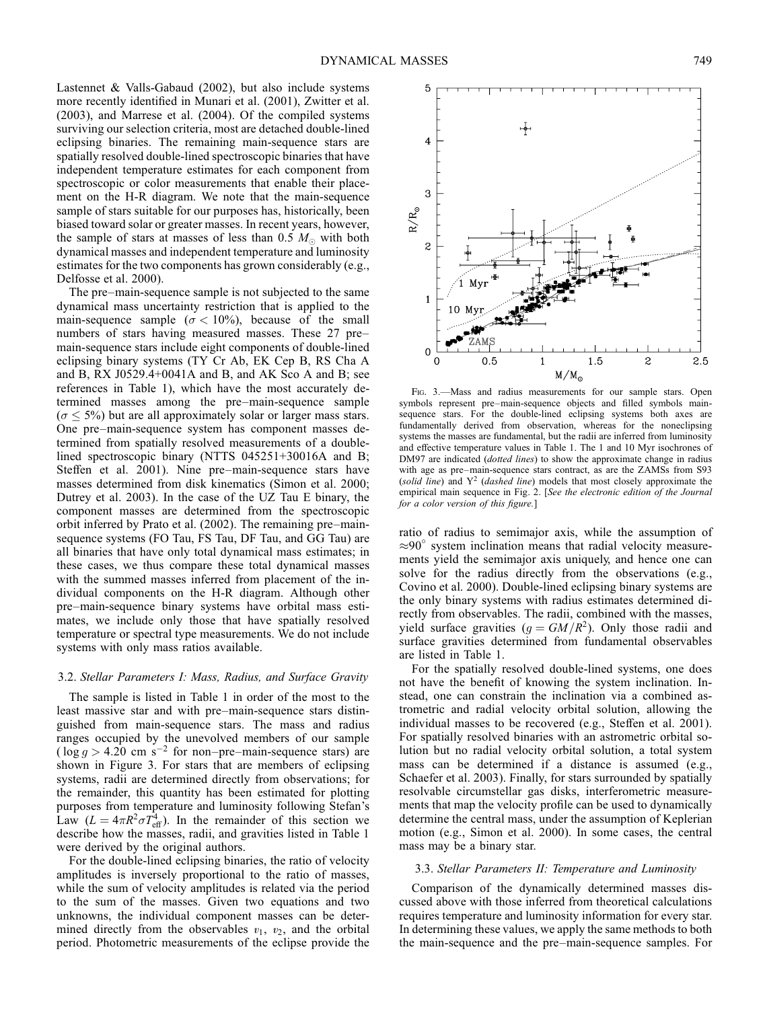Lastennet & Valls-Gabaud (2002), but also include systems more recently identified in Munari et al. (2001), Zwitter et al. (2003), and Marrese et al. (2004). Of the compiled systems surviving our selection criteria, most are detached double-lined eclipsing binaries. The remaining main-sequence stars are spatially resolved double-lined spectroscopic binaries that have independent temperature estimates for each component from spectroscopic or color measurements that enable their placement on the H-R diagram. We note that the main-sequence sample of stars suitable for our purposes has, historically, been biased toward solar or greater masses. In recent years, however, the sample of stars at masses of less than 0.5  $M_{\odot}$  with both dynamical masses and independent temperature and luminosity estimates for the two components has grown considerably (e.g., Delfosse et al. 2000).

The pre–main-sequence sample is not subjected to the same dynamical mass uncertainty restriction that is applied to the main-sequence sample ( $\sigma$  < 10%), because of the small numbers of stars having measured masses. These 27 pre– main-sequence stars include eight components of double-lined eclipsing binary systems (TY Cr Ab, EK Cep B, RS Cha A and B, RX J0529.4+0041A and B, and AK Sco A and B; see references in Table 1), which have the most accurately determined masses among the pre–main-sequence sample  $(\sigma \leq 5\%)$  but are all approximately solar or larger mass stars. One pre–main-sequence system has component masses determined from spatially resolved measurements of a doublelined spectroscopic binary (NTTS 045251+30016A and B; Steffen et al. 2001). Nine pre–main-sequence stars have masses determined from disk kinematics (Simon et al. 2000; Dutrey et al. 2003). In the case of the UZ Tau E binary, the component masses are determined from the spectroscopic orbit inferred by Prato et al. (2002). The remaining pre–mainsequence systems (FO Tau, FS Tau, DF Tau, and GG Tau) are all binaries that have only total dynamical mass estimates; in these cases, we thus compare these total dynamical masses with the summed masses inferred from placement of the individual components on the H-R diagram. Although other pre–main-sequence binary systems have orbital mass estimates, we include only those that have spatially resolved temperature or spectral type measurements. We do not include systems with only mass ratios available.

#### 3.2. Stellar Parameters I: Mass, Radius, and Surface Gravity

The sample is listed in Table 1 in order of the most to the least massive star and with pre–main-sequence stars distinguished from main-sequence stars. The mass and radius ranges occupied by the unevolved members of our sample ( $\log g > 4.20$  cm s<sup>-2</sup> for non–pre–main-sequence stars) are shown in Figure 3. For stars that are members of eclipsing systems, radii are determined directly from observations; for the remainder, this quantity has been estimated for plotting purposes from temperature and luminosity following Stefan's Law  $(L = 4\pi R^2 \sigma T_{\text{eff}}^4)$ . In the remainder of this section we describe how the masses, radii, and gravities listed in Table 1 were derived by the original authors.

For the double-lined eclipsing binaries, the ratio of velocity amplitudes is inversely proportional to the ratio of masses, while the sum of velocity amplitudes is related via the period to the sum of the masses. Given two equations and two unknowns, the individual component masses can be determined directly from the observables  $v_1$ ,  $v_2$ , and the orbital period. Photometric measurements of the eclipse provide the



FIG. 3.-Mass and radius measurements for our sample stars. Open symbols represent pre–main-sequence objects and filled symbols mainsequence stars. For the double-lined eclipsing systems both axes are fundamentally derived from observation, whereas for the noneclipsing systems the masses are fundamental, but the radii are inferred from luminosity and effective temperature values in Table 1. The 1 and 10 Myr isochrones of DM97 are indicated (dotted lines) to show the approximate change in radius with age as pre–main-sequence stars contract, as are the ZAMSs from S93 (solid line) and  $Y^2$  (dashed line) models that most closely approximate the empirical main sequence in Fig. 2. [See the electronic edition of the Journal for a color version of this figure.]

ratio of radius to semimajor axis, while the assumption of  $\approx 90^\circ$  system inclination means that radial velocity measurements yield the semimajor axis uniquely, and hence one can solve for the radius directly from the observations (e.g., Covino et al. 2000). Double-lined eclipsing binary systems are the only binary systems with radius estimates determined directly from observables. The radii, combined with the masses, yield surface gravities  $(g = GM/R<sup>2</sup>)$ . Only those radii and surface gravities determined from fundamental observables are listed in Table 1.

For the spatially resolved double-lined systems, one does not have the benefit of knowing the system inclination. Instead, one can constrain the inclination via a combined astrometric and radial velocity orbital solution, allowing the individual masses to be recovered (e.g., Steffen et al. 2001). For spatially resolved binaries with an astrometric orbital solution but no radial velocity orbital solution, a total system mass can be determined if a distance is assumed (e.g., Schaefer et al. 2003). Finally, for stars surrounded by spatially resolvable circumstellar gas disks, interferometric measurements that map the velocity profile can be used to dynamically determine the central mass, under the assumption of Keplerian motion (e.g., Simon et al. 2000). In some cases, the central mass may be a binary star.

## 3.3. Stellar Parameters II: Temperature and Luminosity

Comparison of the dynamically determined masses discussed above with those inferred from theoretical calculations requires temperature and luminosity information for every star. In determining these values, we apply the same methods to both the main-sequence and the pre–main-sequence samples. For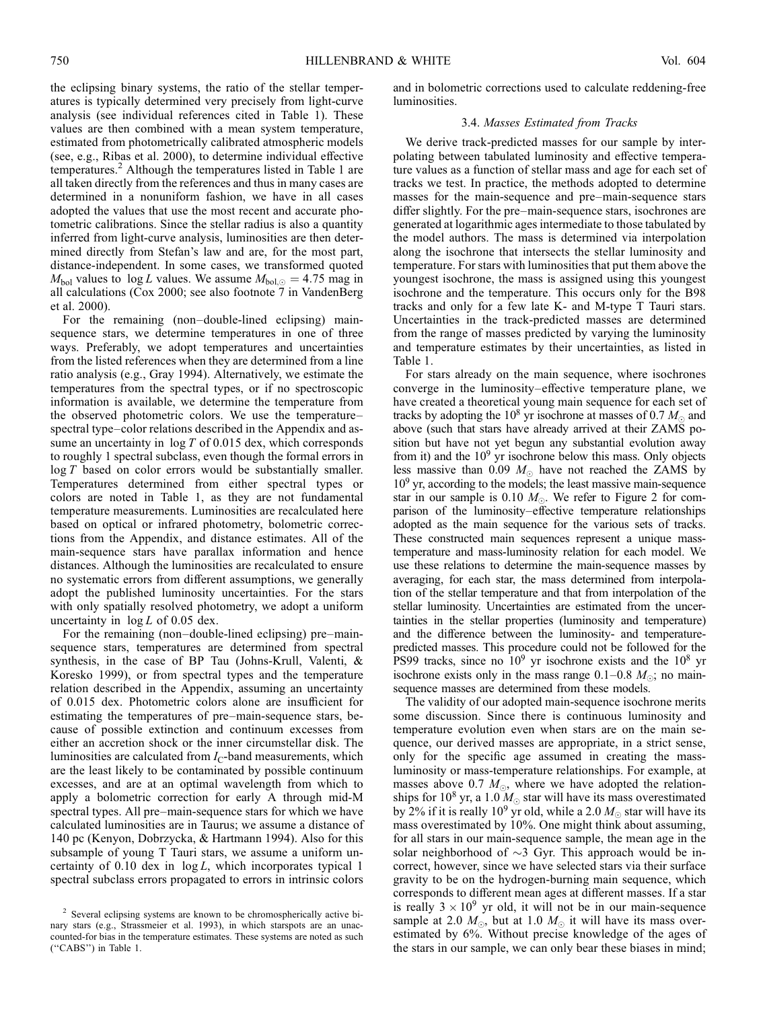the eclipsing binary systems, the ratio of the stellar temperatures is typically determined very precisely from light-curve analysis (see individual references cited in Table 1). These values are then combined with a mean system temperature, estimated from photometrically calibrated atmospheric models (see, e.g., Ribas et al. 2000), to determine individual effective temperatures.<sup>2</sup> Although the temperatures listed in Table 1 are all taken directly from the references and thus in many cases are determined in a nonuniform fashion, we have in all cases adopted the values that use the most recent and accurate photometric calibrations. Since the stellar radius is also a quantity inferred from light-curve analysis, luminosities are then determined directly from Stefan's law and are, for the most part, distance-independent. In some cases, we transformed quoted  $M_{bol}$  values to  $log L$  values. We assume  $M_{bol,\odot} = 4.75$  mag in all calculations (Cox 2000; see also footnote 7 in VandenBerg et al. 2000).

For the remaining (non–double-lined eclipsing) mainsequence stars, we determine temperatures in one of three ways. Preferably, we adopt temperatures and uncertainties from the listed references when they are determined from a line ratio analysis (e.g., Gray 1994). Alternatively, we estimate the temperatures from the spectral types, or if no spectroscopic information is available, we determine the temperature from the observed photometric colors. We use the temperature– spectral type–color relations described in the Appendix and assume an uncertainty in  $\log T$  of 0.015 dex, which corresponds to roughly 1 spectral subclass, even though the formal errors in log T based on color errors would be substantially smaller. Temperatures determined from either spectral types or colors are noted in Table 1, as they are not fundamental temperature measurements. Luminosities are recalculated here based on optical or infrared photometry, bolometric corrections from the Appendix, and distance estimates. All of the main-sequence stars have parallax information and hence distances. Although the luminosities are recalculated to ensure no systematic errors from different assumptions, we generally adopt the published luminosity uncertainties. For the stars with only spatially resolved photometry, we adopt a uniform uncertainty in  $log L$  of 0.05 dex.

For the remaining (non–double-lined eclipsing) pre–mainsequence stars, temperatures are determined from spectral synthesis, in the case of BP Tau (Johns-Krull, Valenti, & Koresko 1999), or from spectral types and the temperature relation described in the Appendix, assuming an uncertainty of 0.015 dex. Photometric colors alone are insufficient for estimating the temperatures of pre–main-sequence stars, because of possible extinction and continuum excesses from either an accretion shock or the inner circumstellar disk. The luminosities are calculated from  $I_{\rm C}$ -band measurements, which are the least likely to be contaminated by possible continuum excesses, and are at an optimal wavelength from which to apply a bolometric correction for early A through mid-M spectral types. All pre–main-sequence stars for which we have calculated luminosities are in Taurus; we assume a distance of 140 pc (Kenyon, Dobrzycka, & Hartmann 1994). Also for this subsample of young T Tauri stars, we assume a uniform uncertainty of  $0.10$  dex in  $log L$ , which incorporates typical 1 spectral subclass errors propagated to errors in intrinsic colors

and in bolometric corrections used to calculate reddening-free luminosities.

#### 3.4. Masses Estimated from Tracks

We derive track-predicted masses for our sample by interpolating between tabulated luminosity and effective temperature values as a function of stellar mass and age for each set of tracks we test. In practice, the methods adopted to determine masses for the main-sequence and pre–main-sequence stars differ slightly. For the pre–main-sequence stars, isochrones are generated at logarithmic ages intermediate to those tabulated by the model authors. The mass is determined via interpolation along the isochrone that intersects the stellar luminosity and temperature. For stars with luminosities that put them above the youngest isochrone, the mass is assigned using this youngest isochrone and the temperature. This occurs only for the B98 tracks and only for a few late K- and M-type T Tauri stars. Uncertainties in the track-predicted masses are determined from the range of masses predicted by varying the luminosity and temperature estimates by their uncertainties, as listed in Table 1.

For stars already on the main sequence, where isochrones converge in the luminosity–effective temperature plane, we have created a theoretical young main sequence for each set of tracks by adopting the 10<sup>8</sup> yr isochrone at masses of 0.7  $M_{\odot}$  and above (such that stars have already arrived at their ZAMS position but have not yet begun any substantial evolution away from it) and the  $10<sup>9</sup>$  yr isochrone below this mass. Only objects less massive than 0.09  $M_{\odot}$  have not reached the ZAMS by  $10<sup>9</sup>$  yr, according to the models; the least massive main-sequence star in our sample is 0.10  $M_{\odot}$ . We refer to Figure 2 for comparison of the luminosity–effective temperature relationships adopted as the main sequence for the various sets of tracks. These constructed main sequences represent a unique masstemperature and mass-luminosity relation for each model. We use these relations to determine the main-sequence masses by averaging, for each star, the mass determined from interpolation of the stellar temperature and that from interpolation of the stellar luminosity. Uncertainties are estimated from the uncertainties in the stellar properties (luminosity and temperature) and the difference between the luminosity- and temperaturepredicted masses. This procedure could not be followed for the PS99 tracks, since no  $10^9$  yr isochrone exists and the  $10^8$  yr isochrone exists only in the mass range  $0.1-0.8$   $M_{\odot}$ ; no mainsequence masses are determined from these models.

The validity of our adopted main-sequence isochrone merits some discussion. Since there is continuous luminosity and temperature evolution even when stars are on the main sequence, our derived masses are appropriate, in a strict sense, only for the specific age assumed in creating the massluminosity or mass-temperature relationships. For example, at masses above 0.7  $M_{\odot}$ , where we have adopted the relationships for 10<sup>8</sup> yr, a 1.0  $M_{\odot}$  star will have its mass overestimated by 2% if it is really 10<sup>9</sup> yr old, while a 2.0  $M_{\odot}$  star will have its mass overestimated by 10%. One might think about assuming, for all stars in our main-sequence sample, the mean age in the solar neighborhood of  $\sim$ 3 Gyr. This approach would be incorrect, however, since we have selected stars via their surface gravity to be on the hydrogen-burning main sequence, which corresponds to different mean ages at different masses. If a star is really  $3 \times 10^9$  yr old, it will not be in our main-sequence sample at 2.0  $M_{\odot}$ , but at 1.0  $M_{\odot}$  it will have its mass overestimated by 6%. Without precise knowledge of the ages of the stars in our sample, we can only bear these biases in mind;

<sup>&</sup>lt;sup>2</sup> Several eclipsing systems are known to be chromospherically active binary stars (e.g., Strassmeier et al. 1993), in which starspots are an unaccounted-for bias in the temperature estimates. These systems are noted as such (''CABS'') in Table 1.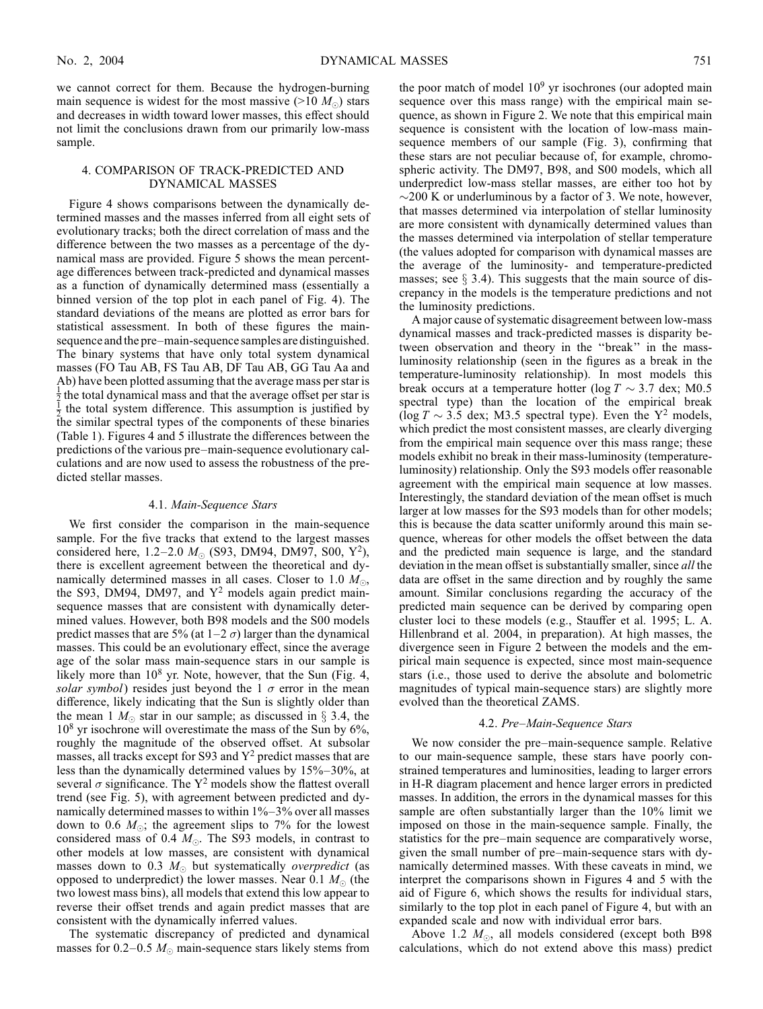we cannot correct for them. Because the hydrogen-burning main sequence is widest for the most massive ( $>10 M_{\odot}$ ) stars and decreases in width toward lower masses, this effect should not limit the conclusions drawn from our primarily low-mass sample.

## 4. COMPARISON OF TRACK-PREDICTED AND DYNAMICAL MASSES

Figure 4 shows comparisons between the dynamically determined masses and the masses inferred from all eight sets of evolutionary tracks; both the direct correlation of mass and the difference between the two masses as a percentage of the dynamical mass are provided. Figure 5 shows the mean percentage differences between track-predicted and dynamical masses as a function of dynamically determined mass (essentially a binned version of the top plot in each panel of Fig. 4). The standard deviations of the means are plotted as error bars for statistical assessment. In both of these figures the mainsequence and the pre–main-sequence samples are distinguished. The binary systems that have only total system dynamical masses (FO Tau AB, FS Tau AB, DF Tau AB, GG Tau Aa and Ab) have been plotted assuming that the average mass per star is  $\frac{1}{2}$  the total dynamical mass and that the average offset per star is  $\frac{1}{2}$  the total system difference. This assumption is justified by the similar spectral types of the components of these binaries (Table 1). Figures 4 and 5 illustrate the differences between the predictions of the various pre–main-sequence evolutionary calculations and are now used to assess the robustness of the predicted stellar masses.

## 4.1. Main-Sequence Stars

We first consider the comparison in the main-sequence sample. For the five tracks that extend to the largest masses considered here, 1.2–2.0  $M_{\odot}$  (S93, DM94, DM97, S00, Y<sup>2</sup>), there is excellent agreement between the theoretical and dynamically determined masses in all cases. Closer to 1.0  $M_{\odot}$ , the S93, DM94, DM97, and  $Y^2$  models again predict mainsequence masses that are consistent with dynamically determined values. However, both B98 models and the S00 models predict masses that are 5% (at  $1-2 \sigma$ ) larger than the dynamical masses. This could be an evolutionary effect, since the average age of the solar mass main-sequence stars in our sample is likely more than  $10^8$  yr. Note, however, that the Sun (Fig. 4, solar symbol) resides just beyond the 1  $\sigma$  error in the mean difference, likely indicating that the Sun is slightly older than the mean 1  $M_{\odot}$  star in our sample; as discussed in § 3.4, the  $10<sup>8</sup>$  yr isochrone will overestimate the mass of the Sun by 6%, roughly the magnitude of the observed offset. At subsolar masses, all tracks except for S93 and  $Y^2$  predict masses that are less than the dynamically determined values by 15%–30%, at several  $\sigma$  significance. The Y<sup>2</sup> models show the flattest overall trend (see Fig. 5), with agreement between predicted and dynamically determined masses to within 1%–3% over all masses down to 0.6  $M_{\odot}$ ; the agreement slips to 7% for the lowest considered mass of 0.4  $M_{\odot}$ . The S93 models, in contrast to other models at low masses, are consistent with dynamical masses down to 0.3  $M_{\odot}$  but systematically *overpredict* (as opposed to underpredict) the lower masses. Near 0.1  $M_{\odot}$  (the two lowest mass bins), all models that extend this low appear to reverse their offset trends and again predict masses that are consistent with the dynamically inferred values.

The systematic discrepancy of predicted and dynamical masses for 0.2–0.5  $M_{\odot}$  main-sequence stars likely stems from the poor match of model  $10<sup>9</sup>$  yr isochrones (our adopted main sequence over this mass range) with the empirical main sequence, as shown in Figure 2. We note that this empirical main sequence is consistent with the location of low-mass mainsequence members of our sample (Fig. 3), confirming that these stars are not peculiar because of, for example, chromospheric activity. The DM97, B98, and S00 models, which all underpredict low-mass stellar masses, are either too hot by  $\sim$ 200 K or underluminous by a factor of 3. We note, however, that masses determined via interpolation of stellar luminosity are more consistent with dynamically determined values than the masses determined via interpolation of stellar temperature (the values adopted for comparison with dynamical masses are the average of the luminosity- and temperature-predicted masses; see  $\S$  3.4). This suggests that the main source of discrepancy in the models is the temperature predictions and not the luminosity predictions.

A major cause of systematic disagreement between low-mass dynamical masses and track-predicted masses is disparity between observation and theory in the ''break'' in the massluminosity relationship (seen in the figures as a break in the temperature-luminosity relationship). In most models this break occurs at a temperature hotter ( $log T \sim 3.7$  dex; M0.5 spectral type) than the location of the empirical break (log  $T \sim 3.5$  dex; M3.5 spectral type). Even the Y<sup>2</sup> models, which predict the most consistent masses, are clearly diverging from the empirical main sequence over this mass range; these models exhibit no break in their mass-luminosity (temperatureluminosity) relationship. Only the S93 models offer reasonable agreement with the empirical main sequence at low masses. Interestingly, the standard deviation of the mean offset is much larger at low masses for the S93 models than for other models; this is because the data scatter uniformly around this main sequence, whereas for other models the offset between the data and the predicted main sequence is large, and the standard deviation in the mean offset is substantially smaller, since all the data are offset in the same direction and by roughly the same amount. Similar conclusions regarding the accuracy of the predicted main sequence can be derived by comparing open cluster loci to these models (e.g., Stauffer et al. 1995; L. A. Hillenbrand et al. 2004, in preparation). At high masses, the divergence seen in Figure 2 between the models and the empirical main sequence is expected, since most main-sequence stars (i.e., those used to derive the absolute and bolometric magnitudes of typical main-sequence stars) are slightly more evolved than the theoretical ZAMS.

## 4.2. Pre–Main-Sequence Stars

We now consider the pre–main-sequence sample. Relative to our main-sequence sample, these stars have poorly constrained temperatures and luminosities, leading to larger errors in H-R diagram placement and hence larger errors in predicted masses. In addition, the errors in the dynamical masses for this sample are often substantially larger than the 10% limit we imposed on those in the main-sequence sample. Finally, the statistics for the pre–main sequence are comparatively worse, given the small number of pre–main-sequence stars with dynamically determined masses. With these caveats in mind, we interpret the comparisons shown in Figures 4 and 5 with the aid of Figure 6, which shows the results for individual stars, similarly to the top plot in each panel of Figure 4, but with an expanded scale and now with individual error bars.

Above 1.2  $M_{\odot}$ , all models considered (except both B98 calculations, which do not extend above this mass) predict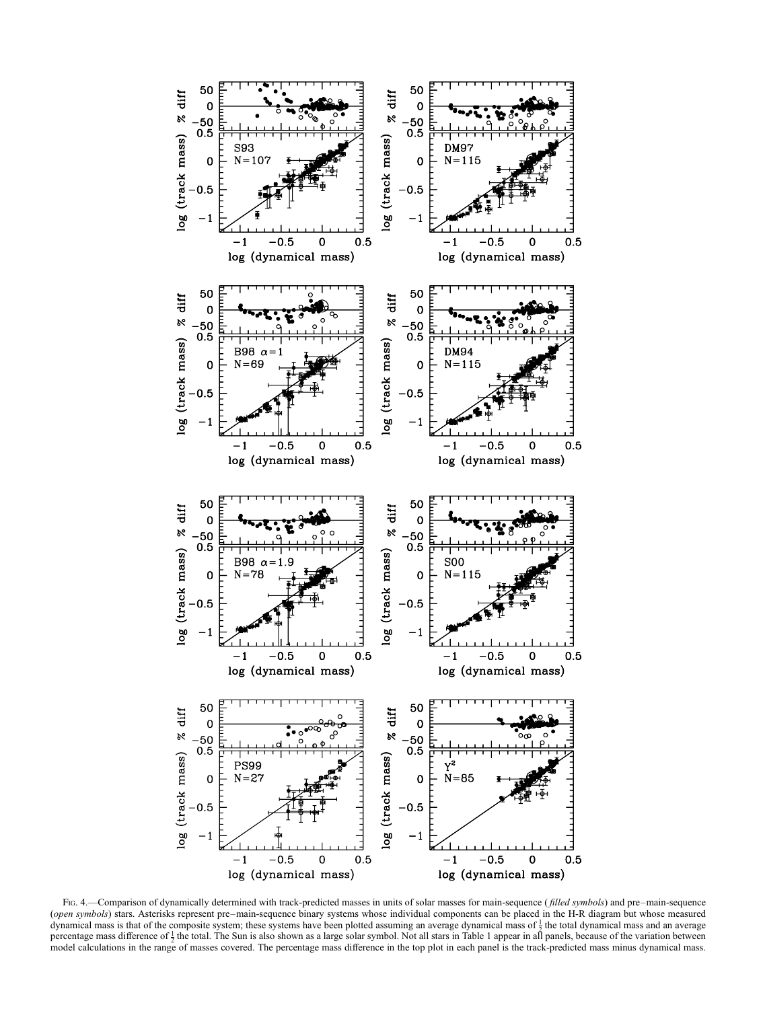

FIG. 4.—Comparison of dynamically determined with track-predicted masses in units of solar masses for main-sequence (filled symbols) and pre–main-sequence (open symbols) stars. Asterisks represent pre–main-sequence binary systems whose individual components can be placed in the H-R diagram but whose measured dynamical mass is that of the composite system; these systems have been plotted assuming an average dynamical mass of  $\frac{1}{2}$  the total dynamical mass and an average percentage mass difference of  $\frac{1}{2}$  the total. The Sun is also shown as a large solar symbol. Not all stars in Table 1 appear in all panels, because of the variation between model calculations in the range of masses covered. The percentage mass difference in the top plot in each panel is the track-predicted mass minus dynamical mass.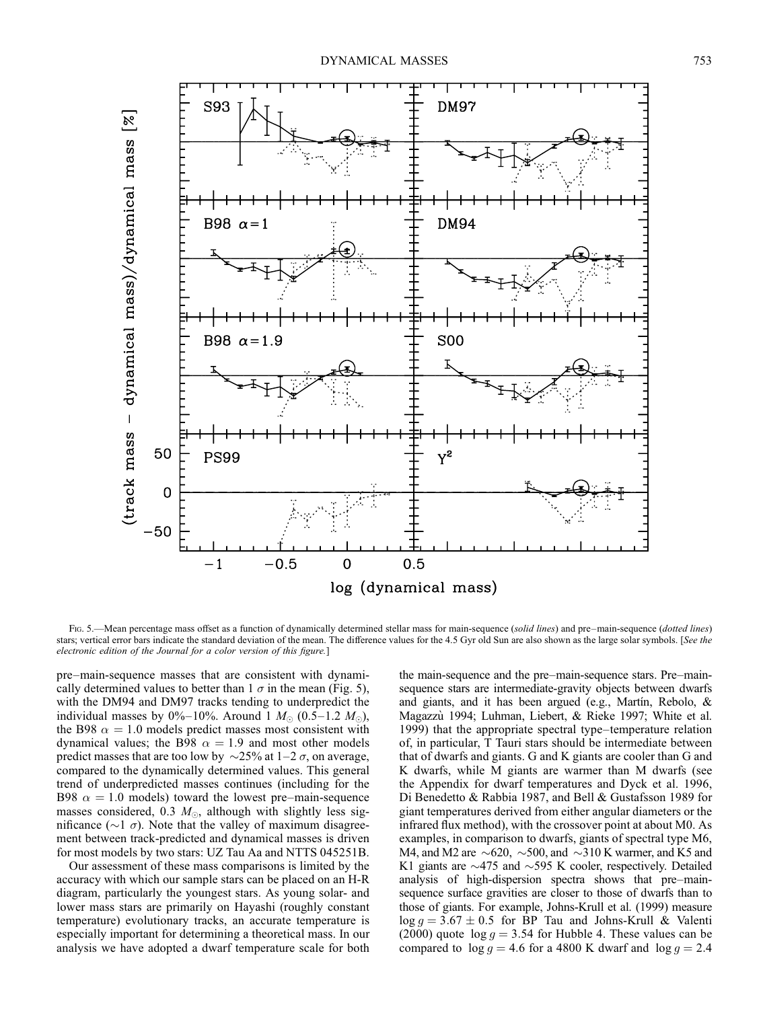

Fig. 5.—Mean percentage mass offset as a function of dynamically determined stellar mass for main-sequence (solid lines) and pre–main-sequence (dotted lines) stars; vertical error bars indicate the standard deviation of the mean. The difference values for the 4.5 Gyr old Sun are also shown as the large solar symbols. [See the electronic edition of the Journal for a color version of this figure.]

pre–main-sequence masses that are consistent with dynamically determined values to better than  $1 \sigma$  in the mean (Fig. 5), with the DM94 and DM97 tracks tending to underpredict the individual masses by 0%–10%. Around 1  $M_{\odot}$  (0.5–1.2  $M_{\odot}$ ), the B98  $\alpha = 1.0$  models predict masses most consistent with dynamical values; the B98  $\alpha = 1.9$  and most other models predict masses that are too low by  $\sim$ 25% at 1–2  $\sigma$ , on average, compared to the dynamically determined values. This general trend of underpredicted masses continues (including for the B98  $\alpha = 1.0$  models) toward the lowest pre–main-sequence masses considered, 0.3  $M_{\odot}$ , although with slightly less significance ( $\sim$ 1  $\sigma$ ). Note that the valley of maximum disagreement between track-predicted and dynamical masses is driven for most models by two stars: UZ Tau Aa and NTTS 045251B.

Our assessment of these mass comparisons is limited by the accuracy with which our sample stars can be placed on an H-R diagram, particularly the youngest stars. As young solar- and lower mass stars are primarily on Hayashi (roughly constant temperature) evolutionary tracks, an accurate temperature is especially important for determining a theoretical mass. In our analysis we have adopted a dwarf temperature scale for both the main-sequence and the pre–main-sequence stars. Pre–mainsequence stars are intermediate-gravity objects between dwarfs and giants, and it has been argued (e.g., Martin, Rebolo,  $\&$ Magazzù 1994; Luhman, Liebert, & Rieke 1997; White et al. 1999) that the appropriate spectral type–temperature relation of, in particular, T Tauri stars should be intermediate between that of dwarfs and giants. G and K giants are cooler than G and K dwarfs, while M giants are warmer than M dwarfs (see the Appendix for dwarf temperatures and Dyck et al. 1996, Di Benedetto & Rabbia 1987, and Bell & Gustafsson 1989 for giant temperatures derived from either angular diameters or the infrared flux method), with the crossover point at about M0. As examples, in comparison to dwarfs, giants of spectral type M6, M4, and M2 are  $\sim$  620,  $\sim$  500, and  $\sim$  310 K warmer, and K5 and K1 giants are  $\sim$ 475 and  $\sim$ 595 K cooler, respectively. Detailed analysis of high-dispersion spectra shows that pre–mainsequence surface gravities are closer to those of dwarfs than to those of giants. For example, Johns-Krull et al. (1999) measure  $\log g = 3.67 \pm 0.5$  for BP Tau and Johns-Krull & Valenti (2000) quote  $\log g = 3.54$  for Hubble 4. These values can be compared to  $\log g = 4.6$  for a 4800 K dwarf and  $\log g = 2.4$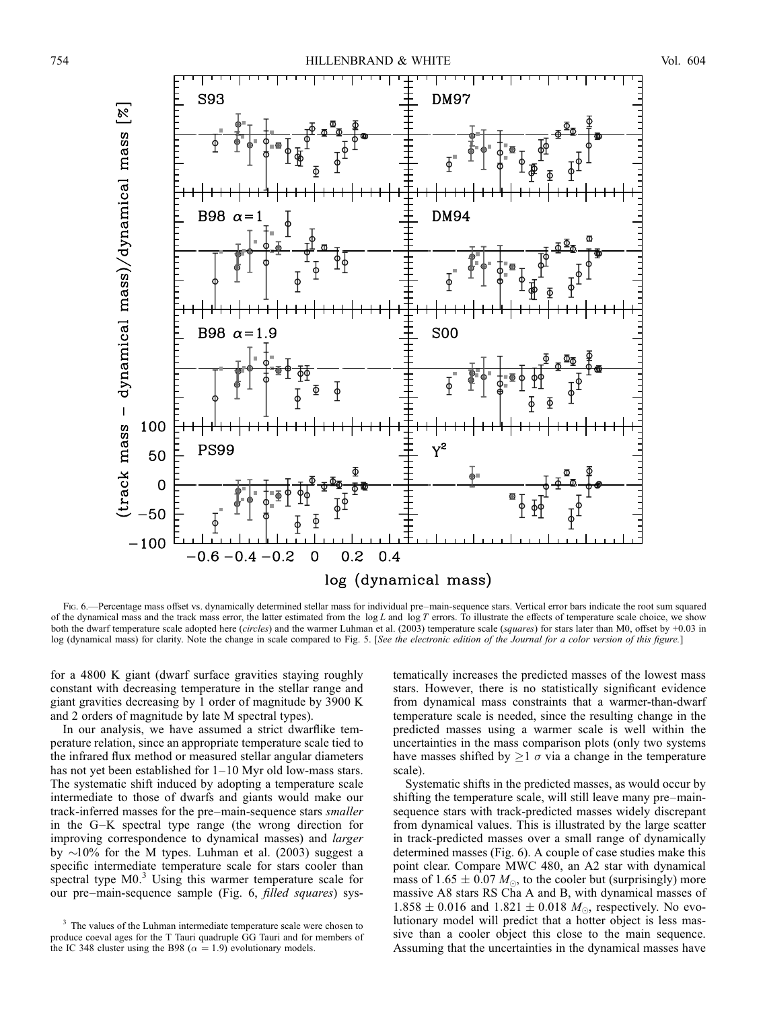

Fig. 6.—Percentage mass offset vs. dynamically determined stellar mass for individual pre–main-sequence stars. Vertical error bars indicate the root sum squared of the dynamical mass and the track mass error, the latter estimated from the  $\log L$  and  $\log T$  errors. To illustrate the effects of temperature scale choice, we show both the dwarf temperature scale adopted here (circles) and the warmer Luhman et al. (2003) temperature scale (squares) for stars later than M0, offset by +0.03 in log (dynamical mass) for clarity. Note the change in scale compared to Fig. 5. [See the electronic edition of the Journal for a color version of this figure.]

for a 4800 K giant (dwarf surface gravities staying roughly constant with decreasing temperature in the stellar range and giant gravities decreasing by 1 order of magnitude by 3900 K and 2 orders of magnitude by late M spectral types).

In our analysis, we have assumed a strict dwarflike temperature relation, since an appropriate temperature scale tied to the infrared flux method or measured stellar angular diameters has not yet been established for  $1-10$  Myr old low-mass stars. The systematic shift induced by adopting a temperature scale intermediate to those of dwarfs and giants would make our track-inferred masses for the pre–main-sequence stars smaller in the G–K spectral type range (the wrong direction for improving correspondence to dynamical masses) and larger by  $\sim$ 10% for the M types. Luhman et al. (2003) suggest a specific intermediate temperature scale for stars cooler than spectral type M0.<sup>3</sup> Using this warmer temperature scale for our pre–main-sequence sample (Fig. 6, filled squares) systematically increases the predicted masses of the lowest mass stars. However, there is no statistically significant evidence from dynamical mass constraints that a warmer-than-dwarf temperature scale is needed, since the resulting change in the predicted masses using a warmer scale is well within the uncertainties in the mass comparison plots (only two systems have masses shifted by  $\geq 1$   $\sigma$  via a change in the temperature scale).

Systematic shifts in the predicted masses, as would occur by shifting the temperature scale, will still leave many pre–mainsequence stars with track-predicted masses widely discrepant from dynamical values. This is illustrated by the large scatter in track-predicted masses over a small range of dynamically determined masses (Fig. 6). A couple of case studies make this point clear. Compare MWC 480, an A2 star with dynamical mass of 1.65  $\pm$  0.07  $M_{\odot}$ , to the cooler but (surprisingly) more massive A8 stars RS Cha A and B, with dynamical masses of  $1.858 \pm 0.016$  and  $1.821 \pm 0.018$   $M_{\odot}$ , respectively. No evolutionary model will predict that a hotter object is less massive than a cooler object this close to the main sequence. Assuming that the uncertainties in the dynamical masses have

<sup>&</sup>lt;sup>3</sup> The values of the Luhman intermediate temperature scale were chosen to produce coeval ages for the T Tauri quadruple GG Tauri and for members of the IC 348 cluster using the B98 ( $\alpha = 1.9$ ) evolutionary models.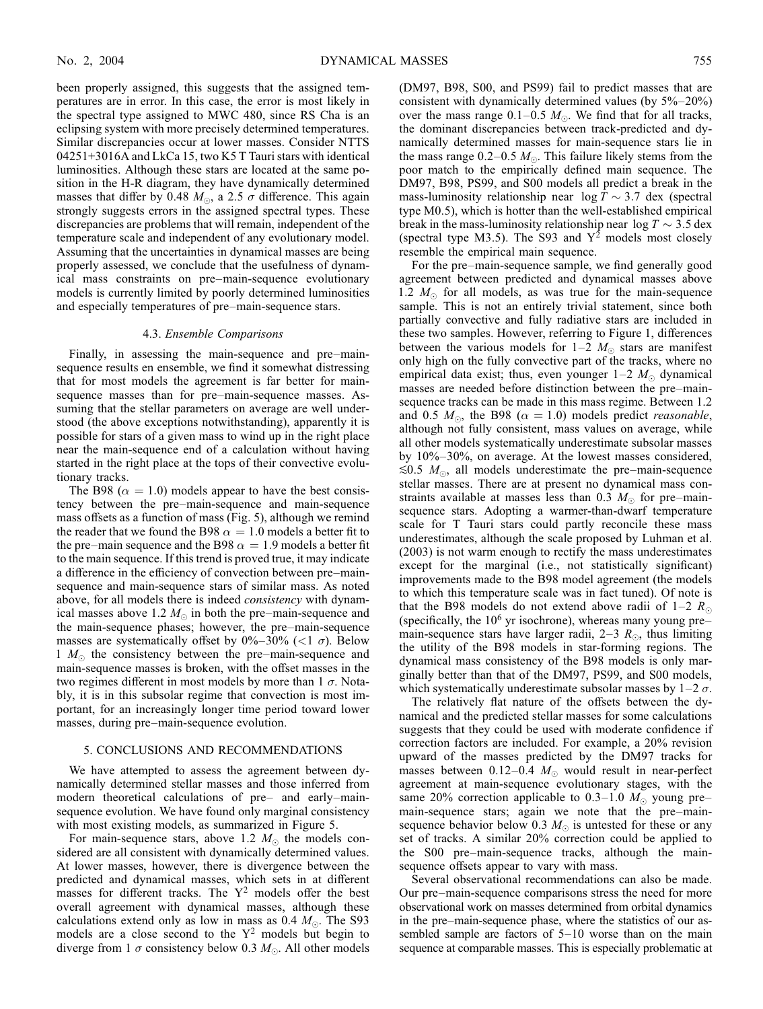been properly assigned, this suggests that the assigned temperatures are in error. In this case, the error is most likely in the spectral type assigned to MWC 480, since RS Cha is an eclipsing system with more precisely determined temperatures. Similar discrepancies occur at lower masses. Consider NTTS 04251+3016A and LkCa 15, two K5 T Tauri stars with identical luminosities. Although these stars are located at the same position in the H-R diagram, they have dynamically determined masses that differ by 0.48  $M_{\odot}$ , a 2.5  $\sigma$  difference. This again strongly suggests errors in the assigned spectral types. These discrepancies are problems that will remain, independent of the temperature scale and independent of any evolutionary model. Assuming that the uncertainties in dynamical masses are being properly assessed, we conclude that the usefulness of dynamical mass constraints on pre–main-sequence evolutionary models is currently limited by poorly determined luminosities and especially temperatures of pre–main-sequence stars.

## 4.3. Ensemble Comparisons

Finally, in assessing the main-sequence and pre–mainsequence results en ensemble, we find it somewhat distressing that for most models the agreement is far better for mainsequence masses than for pre–main-sequence masses. Assuming that the stellar parameters on average are well understood (the above exceptions notwithstanding), apparently it is possible for stars of a given mass to wind up in the right place near the main-sequence end of a calculation without having started in the right place at the tops of their convective evolutionary tracks.

The B98 ( $\alpha = 1.0$ ) models appear to have the best consistency between the pre–main-sequence and main-sequence mass offsets as a function of mass (Fig. 5), although we remind the reader that we found the B98  $\alpha = 1.0$  models a better fit to the pre–main sequence and the B98  $\alpha = 1.9$  models a better fit to the main sequence. If this trend is proved true, it may indicate a difference in the efficiency of convection between pre–mainsequence and main-sequence stars of similar mass. As noted above, for all models there is indeed consistency with dynamical masses above 1.2  $M_{\odot}$  in both the pre–main-sequence and the main-sequence phases; however, the pre–main-sequence masses are systematically offset by  $0\% - 30\%$  (<1  $\sigma$ ). Below 1  $M_{\odot}$  the consistency between the pre–main-sequence and main-sequence masses is broken, with the offset masses in the two regimes different in most models by more than  $1 \sigma$ . Notably, it is in this subsolar regime that convection is most important, for an increasingly longer time period toward lower masses, during pre–main-sequence evolution.

## 5. CONCLUSIONS AND RECOMMENDATIONS

We have attempted to assess the agreement between dynamically determined stellar masses and those inferred from modern theoretical calculations of pre– and early–mainsequence evolution. We have found only marginal consistency with most existing models, as summarized in Figure 5.

For main-sequence stars, above 1.2  $M_{\odot}$  the models considered are all consistent with dynamically determined values. At lower masses, however, there is divergence between the predicted and dynamical masses, which sets in at different masses for different tracks. The  $Y^2$  models offer the best overall agreement with dynamical masses, although these calculations extend only as low in mass as 0.4  $M_{\odot}$ . The S93 models are a close second to the  $Y^2$  models but begin to diverge from 1  $\sigma$  consistency below 0.3  $M_{\odot}$ . All other models (DM97, B98, S00, and PS99) fail to predict masses that are consistent with dynamically determined values (by 5%–20%) over the mass range  $0.1-0.5$   $M_{\odot}$ . We find that for all tracks, the dominant discrepancies between track-predicted and dynamically determined masses for main-sequence stars lie in the mass range 0.2–0.5  $M_{\odot}$ . This failure likely stems from the poor match to the empirically defined main sequence. The DM97, B98, PS99, and S00 models all predict a break in the mass-luminosity relationship near  $log T \sim 3.7$  dex (spectral type M0.5), which is hotter than the well-established empirical break in the mass-luminosity relationship near  $log T \sim 3.5$  dex (spectral type M3.5). The S93 and  $Y^2$  models most closely resemble the empirical main sequence.

For the pre–main-sequence sample, we find generally good agreement between predicted and dynamical masses above 1.2  $M_{\odot}$  for all models, as was true for the main-sequence sample. This is not an entirely trivial statement, since both partially convective and fully radiative stars are included in these two samples. However, referring to Figure 1, differences between the various models for  $1-2$   $M_{\odot}$  stars are manifest only high on the fully convective part of the tracks, where no empirical data exist; thus, even younger  $1-2$   $M_{\odot}$  dynamical masses are needed before distinction between the pre–mainsequence tracks can be made in this mass regime. Between 1.2 and 0.5  $M_{\odot}$ , the B98 ( $\alpha = 1.0$ ) models predict *reasonable*, although not fully consistent, mass values on average, while all other models systematically underestimate subsolar masses by 10%–30%, on average. At the lowest masses considered,  $\leq 0.5$  M<sub>o</sub>, all models underestimate the pre–main-sequence stellar masses. There are at present no dynamical mass constraints available at masses less than 0.3  $M_{\odot}$  for pre–mainsequence stars. Adopting a warmer-than-dwarf temperature scale for T Tauri stars could partly reconcile these mass underestimates, although the scale proposed by Luhman et al. (2003) is not warm enough to rectify the mass underestimates except for the marginal (i.e., not statistically significant) improvements made to the B98 model agreement (the models to which this temperature scale was in fact tuned). Of note is that the B98 models do not extend above radii of 1–2  $R_{\odot}$ (specifically, the  $10<sup>6</sup>$  yr isochrone), whereas many young pre– main-sequence stars have larger radii, 2–3  $R_{\odot}$ , thus limiting the utility of the B98 models in star-forming regions. The dynamical mass consistency of the B98 models is only marginally better than that of the DM97, PS99, and S00 models, which systematically underestimate subsolar masses by  $1-2 \sigma$ .

The relatively flat nature of the offsets between the dynamical and the predicted stellar masses for some calculations suggests that they could be used with moderate confidence if correction factors are included. For example, a 20% revision upward of the masses predicted by the DM97 tracks for masses between 0.12–0.4  $M_{\odot}$  would result in near-perfect agreement at main-sequence evolutionary stages, with the same 20% correction applicable to 0.3–1.0  $M_{\odot}$  young pre– main-sequence stars; again we note that the pre–mainsequence behavior below 0.3  $M_{\odot}$  is untested for these or any set of tracks. A similar 20% correction could be applied to the S00 pre–main-sequence tracks, although the mainsequence offsets appear to vary with mass.

Several observational recommendations can also be made. Our pre–main-sequence comparisons stress the need for more observational work on masses determined from orbital dynamics in the pre–main-sequence phase, where the statistics of our assembled sample are factors of 5–10 worse than on the main sequence at comparable masses. This is especially problematic at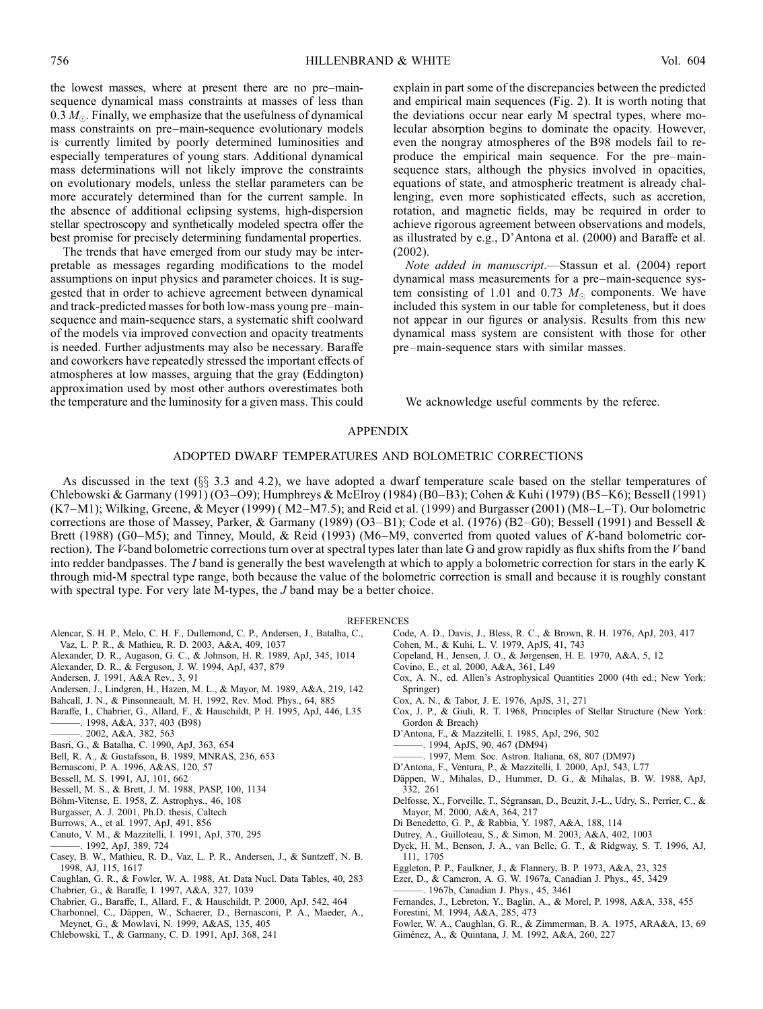the lowest masses, where at present there are no pre–mainsequence dynamical mass constraints at masses of less than 0.3  $M_{\odot}$ . Finally, we emphasize that the usefulness of dynamical mass constraints on pre–main-sequence evolutionary models is currently limited by poorly determined luminosities and especially temperatures of young stars. Additional dynamical mass determinations will not likely improve the constraints on evolutionary models, unless the stellar parameters can be more accurately determined than for the current sample. In the absence of additional eclipsing systems, high-dispersion stellar spectroscopy and synthetically modeled spectra offer the best promise for precisely determining fundamental properties.

The trends that have emerged from our study may be interpretable as messages regarding modifications to the model assumptions on input physics and parameter choices. It is suggested that in order to achieve agreement between dynamical and track-predicted masses for both low-mass young pre–mainsequence and main-sequence stars, a systematic shift coolward of the models via improved convection and opacity treatments is needed. Further adjustments may also be necessary. Baraffe and coworkers have repeatedly stressed the important effects of atmospheres at low masses, arguing that the gray (Eddington) approximation used by most other authors overestimates both the temperature and the luminosity for a given mass. This could

explain in part some of the discrepancies between the predicted and empirical main sequences (Fig. 2). It is worth noting that the deviations occur near early M spectral types, where molecular absorption begins to dominate the opacity. However, even the nongray atmospheres of the B98 models fail to reproduce the empirical main sequence. For the pre–mainsequence stars, although the physics involved in opacities, equations of state, and atmospheric treatment is already challenging, even more sophisticated effects, such as accretion, rotation, and magnetic fields, may be required in order to achieve rigorous agreement between observations and models, as illustrated by e.g., D'Antona et al. (2000) and Baraffe et al. (2002).

Note added in manuscript.—Stassun et al. (2004) report dynamical mass measurements for a pre–main-sequence system consisting of 1.01 and 0.73  $M_{\odot}$  components. We have included this system in our table for completeness, but it does not appear in our figures or analysis. Results from this new dynamical mass system are consistent with those for other pre–main-sequence stars with similar masses.

We acknowledge useful comments by the referee.

## APPENDIX

## ADOPTED DWARF TEMPERATURES AND BOLOMETRIC CORRECTIONS

As discussed in the text  $(\S_{\S} 3.3 \text{ and } 4.2)$ , we have adopted a dwarf temperature scale based on the stellar temperatures of Chlebowski & Garmany (1991) (O3–O9); Humphreys & McElroy (1984) (B0–B3); Cohen & Kuhi (1979) (B5–K6); Bessell (1991) (K7–M1); Wilking, Greene, & Meyer (1999) ( M2–M7.5); and Reid et al. (1999) and Burgasser (2001) (M8–L–T). Our bolometric corrections are those of Massey, Parker, & Garmany (1989) (O3-B1); Code et al. (1976) (B2-G0); Bessell (1991) and Bessell  $\&$ Brett (1988) (G0–M5); and Tinney, Mould, & Reid (1993) (M6–M9, converted from quoted values of K-band bolometric correction). The V-band bolometric corrections turn over at spectral types later than late G and grow rapidly as flux shifts from the V band into redder bandpasses. The I band is generally the best wavelength at which to apply a bolometric correction for stars in the early K through mid-M spectral type range, both because the value of the bolometric correction is small and because it is roughly constant with spectral type. For very late M-types, the  $J$  band may be a better choice.

## **REFERENCES**

- Alencar, S. H. P., Melo, C. H. F., Dullemond, C. P., Andersen, J., Batalha, C.,
- Vaz, L. P. R., & Mathieu, R. D. 2003, A&A, 409, 1037
- Alexander, D. R., Augason, G. C., & Johnson, H. R. 1989, ApJ, 345, 1014
- Alexander, D. R., & Ferguson, J. W. 1994, ApJ, 437, 879
- Andersen, J. 1991, A&A Rev., 3, 91
- Andersen, J., Lindgren, H., Hazen, M. L., & Mayor, M. 1989, A&A, 219, 142
- Bahcall, J. N., & Pinsonneault, M. H. 1992, Rev. Mod. Phys., 64, 885
- Baraffe, I., Chabrier, G., Allard, F., & Hauschildt, P. H. 1995, ApJ, 446, L35 ———. 1998, A&A, 337, 403 (B98)
- $-2002, A&A, 382, 563$
- Basri, G., & Batalha, C. 1990, ApJ, 363, 654
- Bell, R. A., & Gustafsson, B. 1989, MNRAS, 236, 653
- Bernasconi, P. A. 1996, A&AS, 120, 57
- Bessell, M. S. 1991, AJ, 101, 662
- Bessell, M. S., & Brett, J. M. 1988, PASP, 100, 1134
- Böhm-Vitense, E. 1958, Z. Astrophys., 46, 108
- Burgasser, A. J. 2001, Ph.D. thesis, Caltech
- Burrows, A., et al. 1997, ApJ, 491, 856
- Canuto, V. M., & Mazzitelli, I. 1991, ApJ, 370, 295
- ———. 1992, ApJ, 389, 724
- Casey, B. W., Mathieu, R. D., Vaz, L. P. R., Andersen, J., & Suntzeff, N. B. 1998, AJ, 115, 1617
- Caughlan, G. R., & Fowler, W. A. 1988, At. Data Nucl. Data Tables, 40, 283 Chabrier, G., & Baraffe, I. 1997, A&A, 327, 1039
- Chabrier, G., Baraffe, I., Allard, F., & Hauschildt, P. 2000, ApJ, 542, 464
- Charbonnel, C., Däppen, W., Schaerer, D., Bernasconi, P. A., Maeder, A., Meynet, G., & Mowlavi, N. 1999, A&AS, 135, 405
- Chlebowski, T., & Garmany, C. D. 1991, ApJ, 368, 241
	-
- Code, A. D., Davis, J., Bless, R. C., & Brown, R. H. 1976, ApJ, 203, 417
- Cohen, M., & Kuhi, L. V. 1979, ApJS, 41, 743
- Copeland, H., Jensen, J. O., & Jørgensen, H. E. 1970, A&A, 5, 12
- Covino, E., et al. 2000, A&A, 361, L49
- Cox, A. N., ed. Allen's Astrophysical Quantities 2000 (4th ed.; New York: Springer)
- Cox, A. N., & Tabor, J. E. 1976, ApJS, 31, 271
- Cox, J. P., & Giuli, R. T. 1968, Principles of Stellar Structure (New York: Gordon & Breach)
- D'Antona, F., & Mazzitelli, I. 1985, ApJ, 296, 502
	- ———. 1994, ApJS, 90, 467 (DM94)
- ———. 1997, Mem. Soc. Astron. Italiana, 68, 807 (DM97)
- D'Antona, F., Ventura, P., & Mazzitelli, I. 2000, ApJ, 543, L77
- Däppen, W., Mihalas, D., Hummer, D. G., & Mihalas, B. W. 1988, ApJ, 332, 261
- Delfosse, X., Forveille, T., Ségransan, D., Beuzit, J.-L., Udry, S., Perrier, C., & Mayor, M. 2000, A&A, 364, 217
- Di Benedetto, G. P., & Rabbia, Y. 1987, A&A, 188, 114
- Dutrey, A., Guilloteau, S., & Simon, M. 2003, A&A, 402, 1003
- Dyck, H. M., Benson, J. A., van Belle, G. T., & Ridgway, S. T. 1996, AJ, 111, 1705
- Eggleton, P. P., Faulkner, J., & Flannery, B. P. 1973, A&A, 23, 325
- Ezer, D., & Cameron, A. G. W. 1967a, Canadian J. Phys., 45, 3429
- ———. 1967b, Canadian J. Phys., 45, 3461
- Fernandes, J., Lebreton, Y., Baglin, A., & Morel, P. 1998, A&A, 338, 455
- Forestini, M. 1994, A&A, 285, 473
- Fowler, W. A., Caughlan, G. R., & Zimmerman, B. A. 1975, ARA&A, 13, 69
- Giménez, A., & Quintana, J. M. 1992, A&A, 260, 227